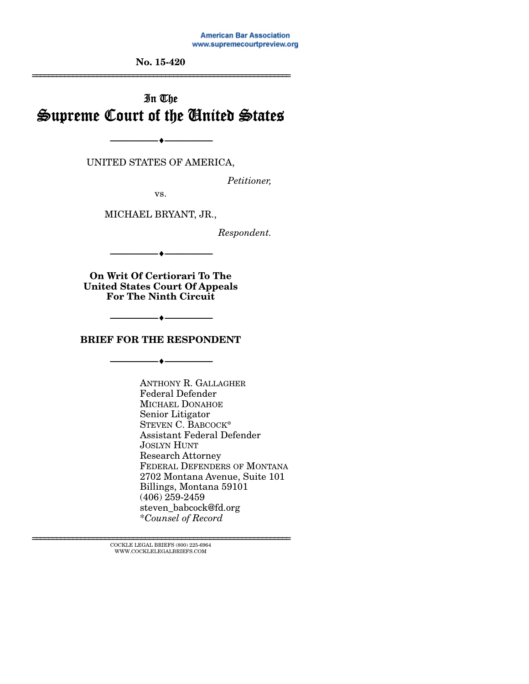**American Bar Association** www.supremecourtpreview.org

**No. 15-420**  ================================================================

# In The Supreme Court of the United States

UNITED STATES OF AMERICA,

--------------------------------- ---------------------------------

*Petitioner,* 

vs.

MICHAEL BRYANT, JR.,

*Respondent.* 

--------------------------------- ---------------------------------

**On Writ Of Certiorari To The United States Court Of Appeals For The Ninth Circuit** 

**BRIEF FOR THE RESPONDENT** 

--------------------------------- ---------------------------------

--------------------------------- ---------------------------------

ANTHONY R. GALLAGHER Federal Defender MICHAEL DONAHOE Senior Litigator STEVEN C. BABCOCK\* Assistant Federal Defender JOSLYN HUNT Research Attorney FEDERAL DEFENDERS OF MONTANA 2702 Montana Avenue, Suite 101 Billings, Montana 59101 (406) 259-2459 steven\_babcock@fd.org \**Counsel of Record*

 $\textsc{COCKLE}$  LEGAL BRIEFS (800) 225-6964 WWW.COCKLELEGALBRIEFS.COM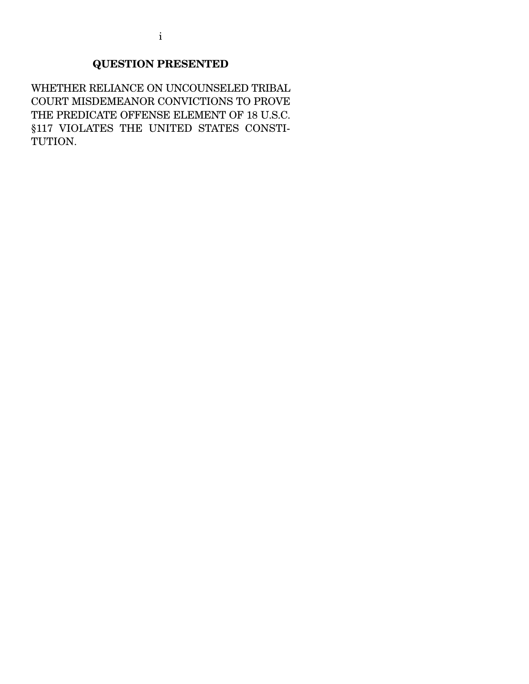## **QUESTION PRESENTED**

WHETHER RELIANCE ON UNCOUNSELED TRIBAL COURT MISDEMEANOR CONVICTIONS TO PROVE THE PREDICATE OFFENSE ELEMENT OF 18 U.S.C. §117 VIOLATES THE UNITED STATES CONSTI-TUTION.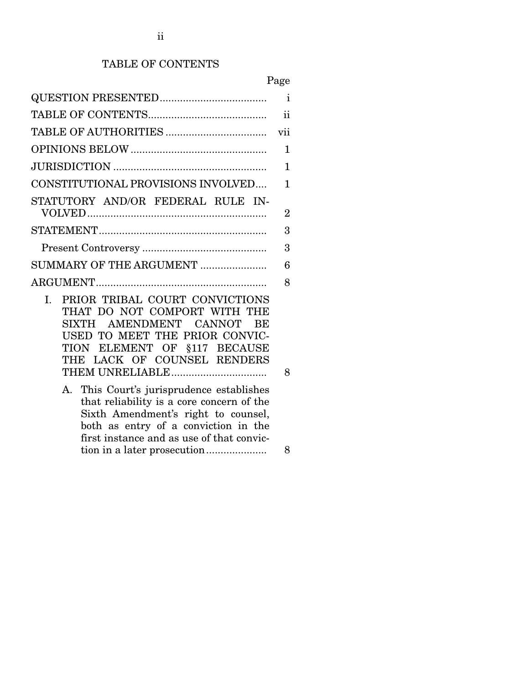## TABLE OF CONTENTS

|                                                                                                                                                                                                                                                                                                                                                                                                                                | Page           |
|--------------------------------------------------------------------------------------------------------------------------------------------------------------------------------------------------------------------------------------------------------------------------------------------------------------------------------------------------------------------------------------------------------------------------------|----------------|
|                                                                                                                                                                                                                                                                                                                                                                                                                                | $\mathbf{i}$   |
|                                                                                                                                                                                                                                                                                                                                                                                                                                | $\mathbf{ii}$  |
|                                                                                                                                                                                                                                                                                                                                                                                                                                | vii            |
|                                                                                                                                                                                                                                                                                                                                                                                                                                | $\mathbf 1$    |
|                                                                                                                                                                                                                                                                                                                                                                                                                                | $\mathbf{1}$   |
| CONSTITUTIONAL PROVISIONS INVOLVED                                                                                                                                                                                                                                                                                                                                                                                             | $\mathbf{1}$   |
| STATUTORY AND/OR FEDERAL RULE IN-                                                                                                                                                                                                                                                                                                                                                                                              |                |
|                                                                                                                                                                                                                                                                                                                                                                                                                                | $\overline{2}$ |
|                                                                                                                                                                                                                                                                                                                                                                                                                                | 3              |
|                                                                                                                                                                                                                                                                                                                                                                                                                                | 3              |
| SUMMARY OF THE ARGUMENT                                                                                                                                                                                                                                                                                                                                                                                                        | 6              |
|                                                                                                                                                                                                                                                                                                                                                                                                                                | 8              |
| PRIOR TRIBAL COURT CONVICTIONS<br>L.<br>THAT DO NOT COMPORT WITH THE<br>SIXTH AMENDMENT CANNOT<br>BE<br>USED TO MEET THE PRIOR CONVIC-<br>TION ELEMENT OF §117 BECAUSE<br>THE LACK OF COUNSEL RENDERS<br>This Court's jurisprudence establishes<br>А.<br>that reliability is a core concern of the<br>Sixth Amendment's right to counsel,<br>both as entry of a conviction in the<br>first instance and as use of that convic- | 8              |

## tion in a later prosecution ..................... 8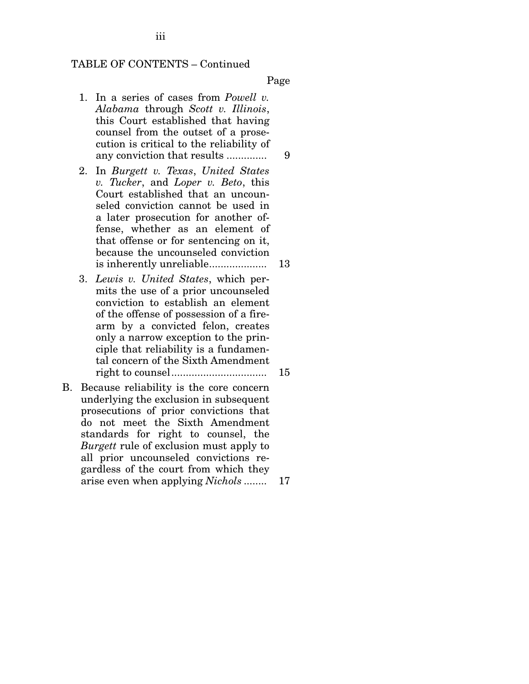iii

Page

- 1. In a series of cases from *Powell v. Alabama* through *Scott v. Illinois*, this Court established that having counsel from the outset of a prosecution is critical to the reliability of any conviction that results .............. 9
- 2. In *Burgett v. Texas*, *United States v. Tucker*, and *Loper v. Beto*, this Court established that an uncounseled conviction cannot be used in a later prosecution for another offense, whether as an element of that offense or for sentencing on it, because the uncounseled conviction is inherently unreliable .................... 13
- 3. *Lewis v. United States*, which permits the use of a prior uncounseled conviction to establish an element of the offense of possession of a firearm by a convicted felon, creates only a narrow exception to the principle that reliability is a fundamental concern of the Sixth Amendment right to counsel ................................. 15
- B. Because reliability is the core concern underlying the exclusion in subsequent prosecutions of prior convictions that do not meet the Sixth Amendment standards for right to counsel, the *Burgett* rule of exclusion must apply to all prior uncounseled convictions regardless of the court from which they arise even when applying *Nichols* ........ 17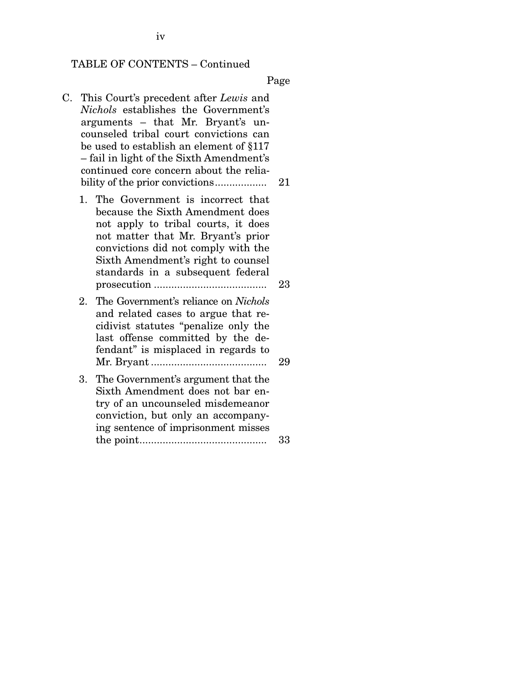Page

- C. This Court's precedent after *Lewis* and *Nichols* establishes the Government's arguments – that Mr. Bryant's uncounseled tribal court convictions can be used to establish an element of §117 – fail in light of the Sixth Amendment's continued core concern about the reliability of the prior convictions .................. 21
	- 1. The Government is incorrect that because the Sixth Amendment does not apply to tribal courts, it does not matter that Mr. Bryant's prior convictions did not comply with the Sixth Amendment's right to counsel standards in a subsequent federal prosecution ....................................... 23
	- 2. The Government's reliance on *Nichols* and related cases to argue that recidivist statutes "penalize only the last offense committed by the defendant" is misplaced in regards to Mr. Bryant ........................................ 29
	- 3. The Government's argument that the Sixth Amendment does not bar entry of an uncounseled misdemeanor conviction, but only an accompanying sentence of imprisonment misses the point ............................................ 33

iv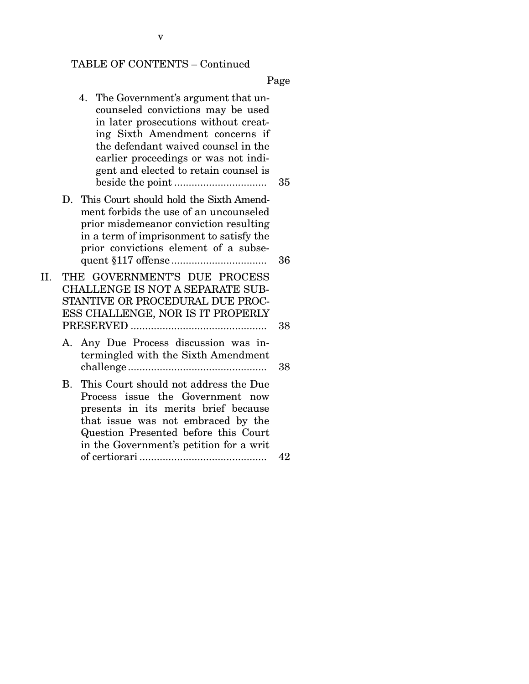Page

- 4. The Government's argument that uncounseled convictions may be used in later prosecutions without creating Sixth Amendment concerns if the defendant waived counsel in the earlier proceedings or was not indigent and elected to retain counsel is beside the point ................................ 35
- D. This Court should hold the Sixth Amendment forbids the use of an uncounseled prior misdemeanor conviction resulting in a term of imprisonment to satisfy the prior convictions element of a subsequent §117 offense ................................. 36
- II. THE GOVERNMENT'S DUE PROCESS CHALLENGE IS NOT A SEPARATE SUB-STANTIVE OR PROCEDURAL DUE PROC-ESS CHALLENGE, NOR IS IT PROPERLY PRESERVED ............................................... 38
	- A. Any Due Process discussion was intermingled with the Sixth Amendment challenge ................................................ 38
	- B. This Court should not address the Due Process issue the Government now presents in its merits brief because that issue was not embraced by the Question Presented before this Court in the Government's petition for a writ of certiorari ............................................ 42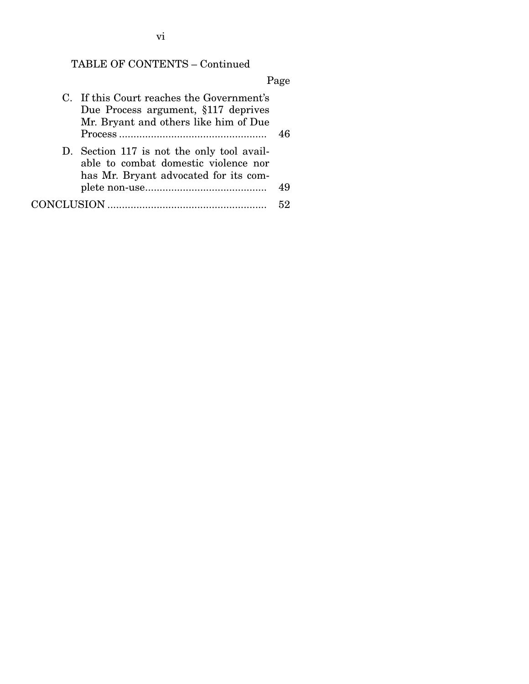## Page

| C. If this Court reaches the Government's<br>Due Process argument, §117 deprives<br>Mr. Bryant and others like him of Due   | 46 |
|-----------------------------------------------------------------------------------------------------------------------------|----|
| D. Section 117 is not the only tool avail-<br>able to combat domestic violence nor<br>has Mr. Bryant advocated for its com- |    |
|                                                                                                                             | 49 |
|                                                                                                                             |    |

vi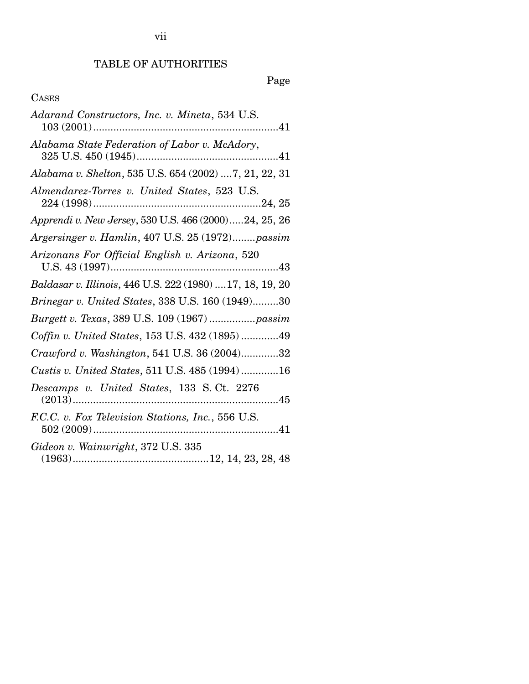# TABLE OF AUTHORITIES

# Page

## CASES

| Adarand Constructors, Inc. v. Mineta, 534 U.S.            |
|-----------------------------------------------------------|
| Alabama State Federation of Labor v. McAdory,             |
| Alabama v. Shelton, 535 U.S. 654 (2002)  7, 21, 22, 31    |
| Almendarez-Torres v. United States, 523 U.S.              |
| Apprendi v. New Jersey, 530 U.S. 466 (2000)24, 25, 26     |
| Argersinger v. Hamlin, 407 U.S. 25 (1972)passim           |
| Arizonans For Official English v. Arizona, 520            |
| Baldasar v. Illinois, 446 U.S. 222 (1980)  17, 18, 19, 20 |
| Brinegar v. United States, 338 U.S. 160 (1949)30          |
| Burgett v. Texas, 389 U.S. 109 (1967)  passim             |
| Coffin v. United States, 153 U.S. 432 (1895) 49           |
| Crawford v. Washington, 541 U.S. 36 (2004)32              |
| Custis v. United States, 511 U.S. 485 (1994)16            |
| Descamps v. United States, 133 S.Ct. 2276                 |
| F.C.C. v. Fox Television Stations, Inc., 556 U.S.         |
| Gideon v. Wainwright, 372 U.S. 335                        |

vii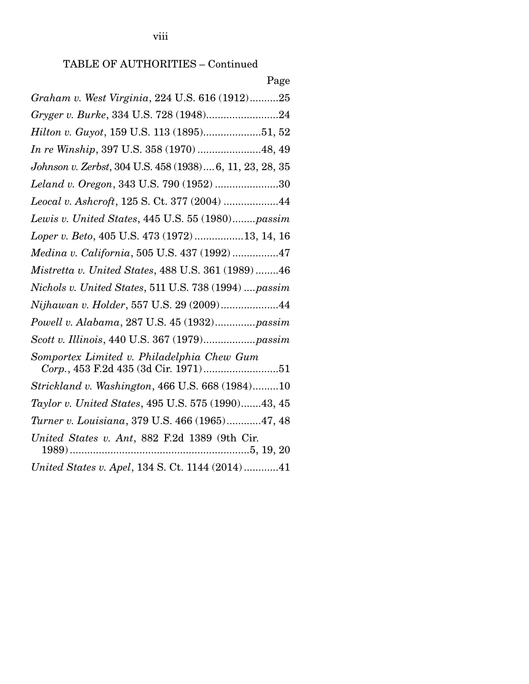# TABLE OF AUTHORITIES – Continued

viii

Page

| Graham v. West Virginia, 224 U.S. 616 (1912)25                                       |
|--------------------------------------------------------------------------------------|
| Gryger v. Burke, 334 U.S. 728 (1948)24                                               |
| Hilton v. Guyot, 159 U.S. 113 (1895)51, 52                                           |
| In re Winship, 397 U.S. 358 (1970) 48, 49                                            |
| Johnson v. Zerbst, 304 U.S. 458 (1938) 6, 11, 23, 28, 35                             |
| Leland v. Oregon, 343 U.S. 790 (1952) 30                                             |
| Leocal v. Ashcroft, 125 S. Ct. 377 (2004) 44                                         |
| Lewis v. United States, 445 U.S. 55 (1980)passim                                     |
| Loper v. Beto, 405 U.S. 473 (1972)13, 14, 16                                         |
| Medina v. California, 505 U.S. 437 (1992)47                                          |
| Mistretta v. United States, 488 U.S. 361 (1989)46                                    |
| Nichols v. United States, 511 U.S. 738 (1994)  passim                                |
| Nijhawan v. Holder, 557 U.S. 29 (2009)44                                             |
| Powell v. Alabama, 287 U.S. 45 (1932)passim                                          |
|                                                                                      |
| Somportex Limited v. Philadelphia Chew Gum<br>$Corp.,$ 453 F.2d 435 (3d Cir. 1971)51 |
| Strickland v. Washington, 466 U.S. 668 (1984)10                                      |
| Taylor v. United States, 495 U.S. 575 (1990)43, 45                                   |
| Turner v. Louisiana, 379 U.S. 466 (1965)47, 48                                       |
| United States v. Ant, 882 F.2d 1389 (9th Cir.                                        |
| United States v. Apel, 134 S. Ct. 1144 (2014)41                                      |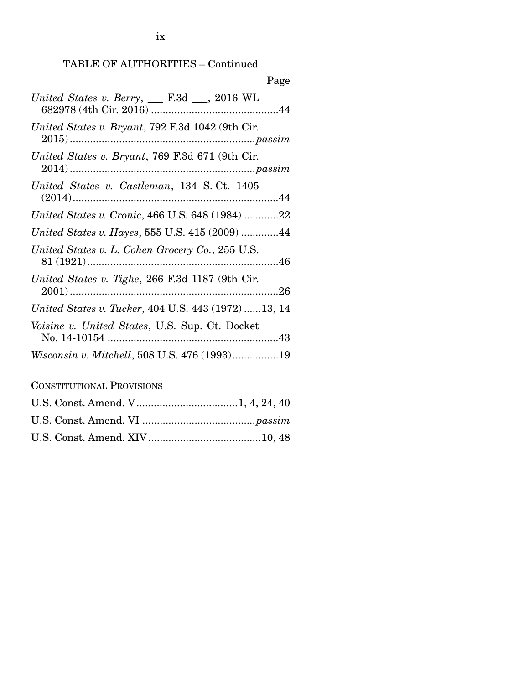| Page                                                 |
|------------------------------------------------------|
| United States v. Berry, $\_\_$ F.3d $\_\_$ , 2016 WL |
| United States v. Bryant, 792 F.3d 1042 (9th Cir.     |
| United States v. Bryant, 769 F.3d 671 (9th Cir.      |
| United States v. Castleman, 134 S.Ct. 1405           |
| United States v. Cronic, 466 U.S. 648 (1984) 22      |
| United States v. Hayes, 555 U.S. 415 (2009) 44       |
| United States v. L. Cohen Grocery Co., 255 U.S.      |
| United States v. Tighe, 266 F.3d 1187 (9th Cir.      |
| United States v. Tucker, 404 U.S. 443 (1972) 13, 14  |
| Voisine v. United States, U.S. Sup. Ct. Docket       |
| Wisconsin v. Mitchell, 508 U.S. 476 (1993)19         |

CONSTITUTIONAL PROVISIONS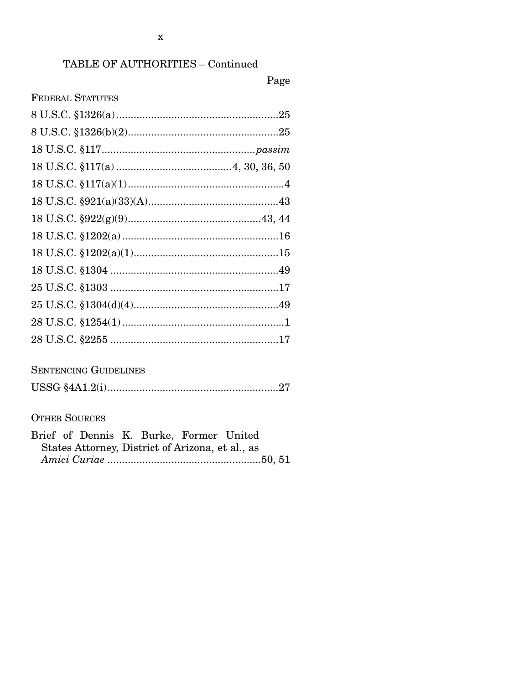## TABLE OF AUTHORITIES - Continued

## Page

| <b>FEDERAL STATUTES</b> |  |
|-------------------------|--|
|                         |  |
|                         |  |
|                         |  |
|                         |  |
|                         |  |
|                         |  |
|                         |  |
|                         |  |
|                         |  |
|                         |  |
|                         |  |
|                         |  |
|                         |  |
|                         |  |

## **SENTENCING GUIDELINES**

|--|

## **OTHER SOURCES**

| Brief of Dennis K. Burke, Former United          |  |  |
|--------------------------------------------------|--|--|
| States Attorney, District of Arizona, et al., as |  |  |
|                                                  |  |  |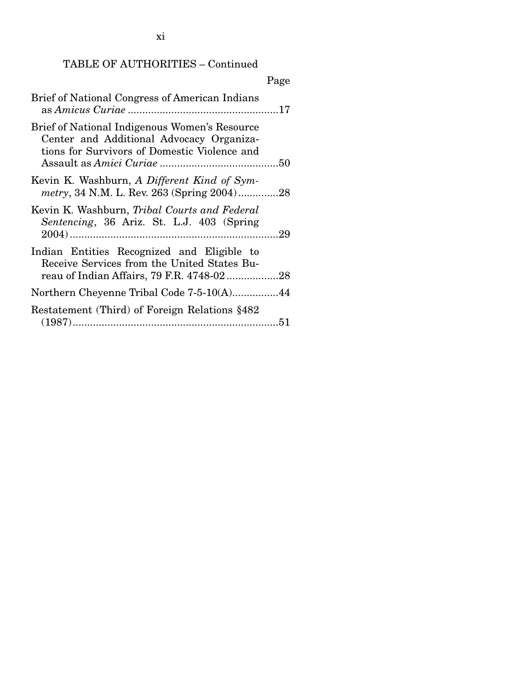xi

## TABLE OF AUTHORITIES – Continued

|                                                                                                                                           | Page |
|-------------------------------------------------------------------------------------------------------------------------------------------|------|
| Brief of National Congress of American Indians                                                                                            |      |
| Brief of National Indigenous Women's Resource<br>Center and Additional Advocacy Organiza-<br>tions for Survivors of Domestic Violence and |      |
| Kevin K. Washburn, A Different Kind of Sym-<br>metry, 34 N.M. L. Rev. 263 (Spring 2004)28                                                 |      |
| Kevin K. Washburn, Tribal Courts and Federal<br>Sentencing, 36 Ariz. St. L.J. 403 (Spring                                                 |      |
| Indian Entities Recognized and Eligible to<br>Receive Services from the United States Bu-                                                 |      |
| Northern Cheyenne Tribal Code 7-5-10(A)44                                                                                                 |      |
| Restatement (Third) of Foreign Relations §482                                                                                             |      |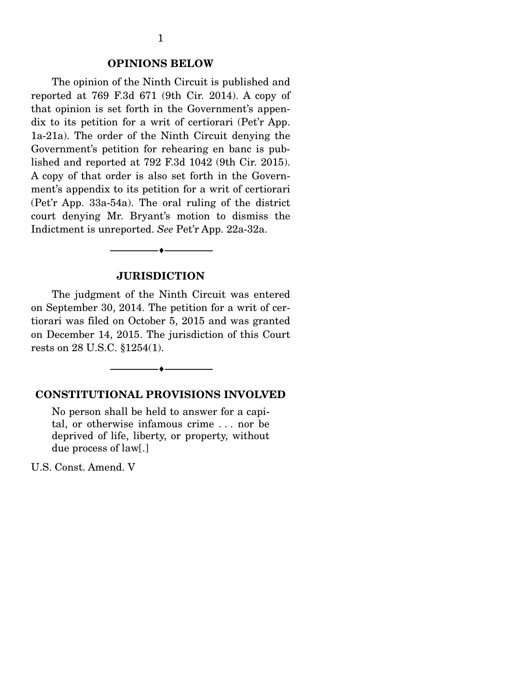#### **OPINIONS BELOW**

 The opinion of the Ninth Circuit is published and reported at 769 F.3d 671 (9th Cir. 2014). A copy of that opinion is set forth in the Government's appendix to its petition for a writ of certiorari (Pet'r App. 1a-21a). The order of the Ninth Circuit denying the Government's petition for rehearing en banc is published and reported at 792 F.3d 1042 (9th Cir. 2015). A copy of that order is also set forth in the Government's appendix to its petition for a writ of certiorari (Pet'r App. 33a-54a). The oral ruling of the district court denying Mr. Bryant's motion to dismiss the Indictment is unreported. *See* Pet'r App. 22a-32a.

#### **JURISDICTION**

 $-$ 

 The judgment of the Ninth Circuit was entered on September 30, 2014. The petition for a writ of certiorari was filed on October 5, 2015 and was granted on December 14, 2015. The jurisdiction of this Court rests on 28 U.S.C. §1254(1).

--------------------------------- ---------------------------------

#### **CONSTITUTIONAL PROVISIONS INVOLVED**

No person shall be held to answer for a capital, or otherwise infamous crime . . . nor be deprived of life, liberty, or property, without due process of law[.]

U.S. Const. Amend. V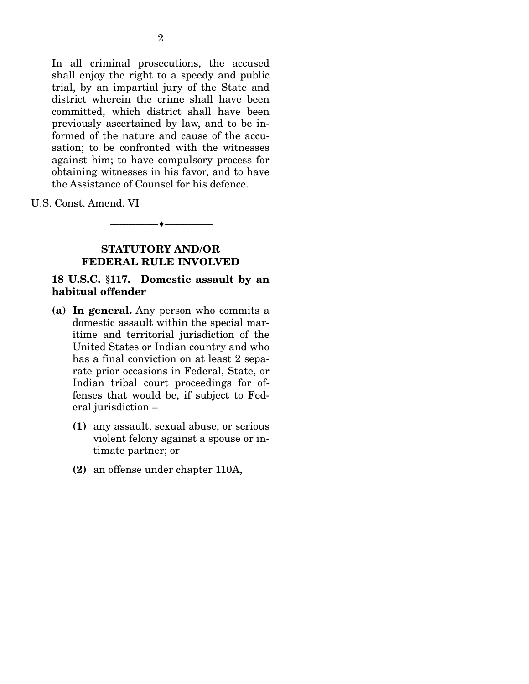In all criminal prosecutions, the accused shall enjoy the right to a speedy and public trial, by an impartial jury of the State and district wherein the crime shall have been committed, which district shall have been previously ascertained by law, and to be informed of the nature and cause of the accusation; to be confronted with the witnesses against him; to have compulsory process for obtaining witnesses in his favor, and to have the Assistance of Counsel for his defence.

U.S. Const. Amend. VI

### **STATUTORY AND/OR FEDERAL RULE INVOLVED**

--------------------------------- ---------------------------------

#### **18 U.S.C. §117. Domestic assault by an habitual offender**

- **(a) In general.** Any person who commits a domestic assault within the special maritime and territorial jurisdiction of the United States or Indian country and who has a final conviction on at least 2 separate prior occasions in Federal, State, or Indian tribal court proceedings for offenses that would be, if subject to Federal jurisdiction –
	- **(1)** any assault, sexual abuse, or serious violent felony against a spouse or intimate partner; or
	- **(2)** an offense under chapter 110A,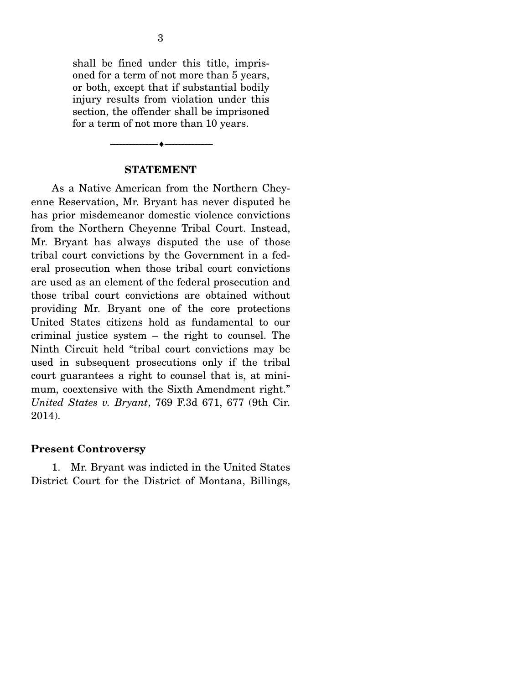shall be fined under this title, imprisoned for a term of not more than 5 years, or both, except that if substantial bodily injury results from violation under this section, the offender shall be imprisoned for a term of not more than 10 years.

#### **STATEMENT**

--------------------------------- ---------------------------------

 As a Native American from the Northern Cheyenne Reservation, Mr. Bryant has never disputed he has prior misdemeanor domestic violence convictions from the Northern Cheyenne Tribal Court. Instead, Mr. Bryant has always disputed the use of those tribal court convictions by the Government in a federal prosecution when those tribal court convictions are used as an element of the federal prosecution and those tribal court convictions are obtained without providing Mr. Bryant one of the core protections United States citizens hold as fundamental to our criminal justice system – the right to counsel. The Ninth Circuit held "tribal court convictions may be used in subsequent prosecutions only if the tribal court guarantees a right to counsel that is, at minimum, coextensive with the Sixth Amendment right." *United States v. Bryant*, 769 F.3d 671, 677 (9th Cir. 2014).

#### **Present Controversy**

 1. Mr. Bryant was indicted in the United States District Court for the District of Montana, Billings,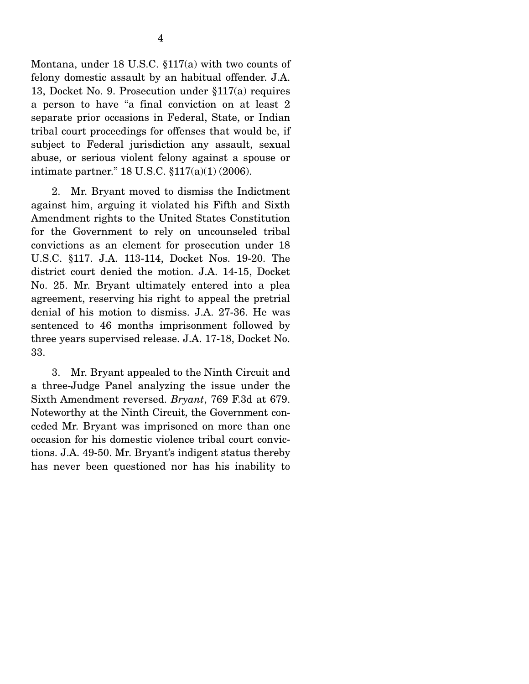Montana, under 18 U.S.C. §117(a) with two counts of felony domestic assault by an habitual offender. J.A. 13, Docket No. 9. Prosecution under §117(a) requires a person to have "a final conviction on at least 2 separate prior occasions in Federal, State, or Indian tribal court proceedings for offenses that would be, if subject to Federal jurisdiction any assault, sexual abuse, or serious violent felony against a spouse or intimate partner." 18 U.S.C. §117(a)(1) (2006).

 2. Mr. Bryant moved to dismiss the Indictment against him, arguing it violated his Fifth and Sixth Amendment rights to the United States Constitution for the Government to rely on uncounseled tribal convictions as an element for prosecution under 18 U.S.C. §117. J.A. 113-114, Docket Nos. 19-20. The district court denied the motion. J.A. 14-15, Docket No. 25. Mr. Bryant ultimately entered into a plea agreement, reserving his right to appeal the pretrial denial of his motion to dismiss. J.A. 27-36. He was sentenced to 46 months imprisonment followed by three years supervised release. J.A. 17-18, Docket No. 33.

 3. Mr. Bryant appealed to the Ninth Circuit and a three-Judge Panel analyzing the issue under the Sixth Amendment reversed. *Bryant*, 769 F.3d at 679. Noteworthy at the Ninth Circuit, the Government conceded Mr. Bryant was imprisoned on more than one occasion for his domestic violence tribal court convictions. J.A. 49-50. Mr. Bryant's indigent status thereby has never been questioned nor has his inability to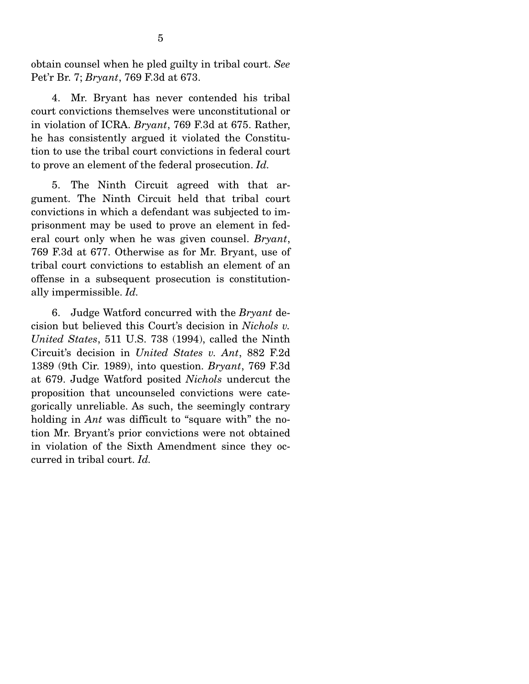obtain counsel when he pled guilty in tribal court. *See* Pet'r Br. 7; *Bryant*, 769 F.3d at 673.

 4. Mr. Bryant has never contended his tribal court convictions themselves were unconstitutional or in violation of ICRA. *Bryant*, 769 F.3d at 675. Rather, he has consistently argued it violated the Constitution to use the tribal court convictions in federal court to prove an element of the federal prosecution. *Id.*

 5. The Ninth Circuit agreed with that argument. The Ninth Circuit held that tribal court convictions in which a defendant was subjected to imprisonment may be used to prove an element in federal court only when he was given counsel. *Bryant*, 769 F.3d at 677. Otherwise as for Mr. Bryant, use of tribal court convictions to establish an element of an offense in a subsequent prosecution is constitutionally impermissible. *Id.*

 6. Judge Watford concurred with the *Bryant* decision but believed this Court's decision in *Nichols v. United States*, 511 U.S. 738 (1994), called the Ninth Circuit's decision in *United States v. Ant*, 882 F.2d 1389 (9th Cir. 1989), into question. *Bryant*, 769 F.3d at 679. Judge Watford posited *Nichols* undercut the proposition that uncounseled convictions were categorically unreliable. As such, the seemingly contrary holding in *Ant* was difficult to "square with" the notion Mr. Bryant's prior convictions were not obtained in violation of the Sixth Amendment since they occurred in tribal court. *Id.*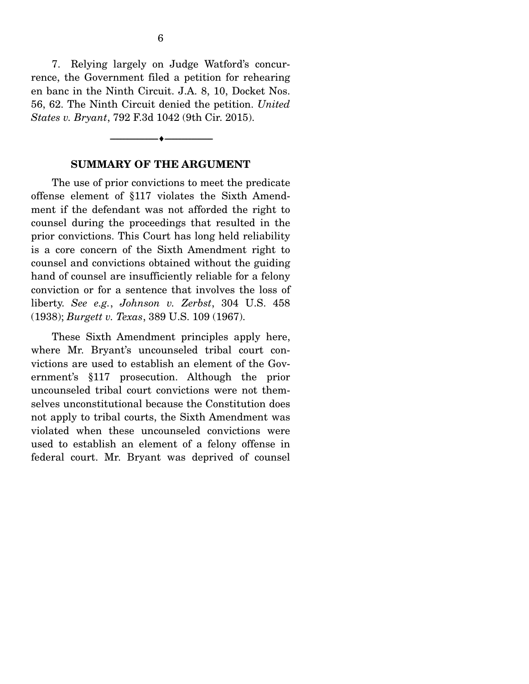7. Relying largely on Judge Watford's concurrence, the Government filed a petition for rehearing en banc in the Ninth Circuit. J.A. 8, 10, Docket Nos. 56, 62. The Ninth Circuit denied the petition. *United States v. Bryant*, 792 F.3d 1042 (9th Cir. 2015).

#### **SUMMARY OF THE ARGUMENT**

--------------------------------- ---------------------------------

 The use of prior convictions to meet the predicate offense element of §117 violates the Sixth Amendment if the defendant was not afforded the right to counsel during the proceedings that resulted in the prior convictions. This Court has long held reliability is a core concern of the Sixth Amendment right to counsel and convictions obtained without the guiding hand of counsel are insufficiently reliable for a felony conviction or for a sentence that involves the loss of liberty. *See e.g.*, *Johnson v. Zerbst*, 304 U.S. 458 (1938); *Burgett v. Texas*, 389 U.S. 109 (1967).

 These Sixth Amendment principles apply here, where Mr. Bryant's uncounseled tribal court convictions are used to establish an element of the Government's §117 prosecution. Although the prior uncounseled tribal court convictions were not themselves unconstitutional because the Constitution does not apply to tribal courts, the Sixth Amendment was violated when these uncounseled convictions were used to establish an element of a felony offense in federal court. Mr. Bryant was deprived of counsel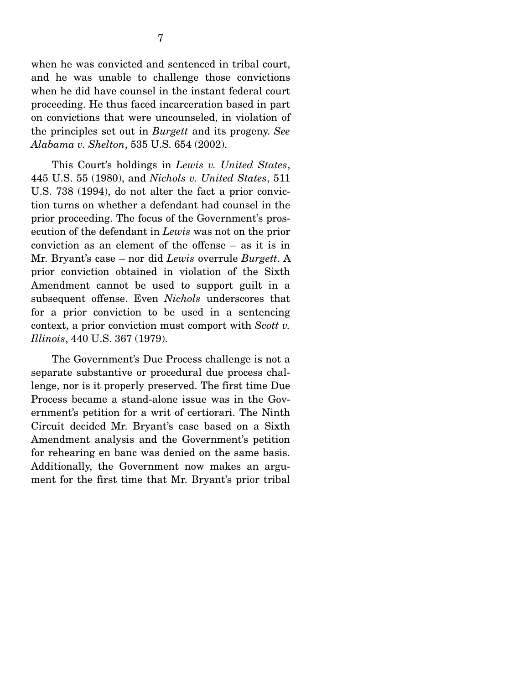when he was convicted and sentenced in tribal court, and he was unable to challenge those convictions when he did have counsel in the instant federal court proceeding. He thus faced incarceration based in part on convictions that were uncounseled, in violation of the principles set out in *Burgett* and its progeny. *See Alabama v. Shelton*, 535 U.S. 654 (2002).

 This Court's holdings in *Lewis v. United States*, 445 U.S. 55 (1980), and *Nichols v. United States*, 511 U.S. 738 (1994), do not alter the fact a prior conviction turns on whether a defendant had counsel in the prior proceeding. The focus of the Government's prosecution of the defendant in *Lewis* was not on the prior conviction as an element of the offense – as it is in Mr. Bryant's case – nor did *Lewis* overrule *Burgett*. A prior conviction obtained in violation of the Sixth Amendment cannot be used to support guilt in a subsequent offense. Even *Nichols* underscores that for a prior conviction to be used in a sentencing context, a prior conviction must comport with *Scott v. Illinois*, 440 U.S. 367 (1979).

 The Government's Due Process challenge is not a separate substantive or procedural due process challenge, nor is it properly preserved. The first time Due Process became a stand-alone issue was in the Government's petition for a writ of certiorari. The Ninth Circuit decided Mr. Bryant's case based on a Sixth Amendment analysis and the Government's petition for rehearing en banc was denied on the same basis. Additionally, the Government now makes an argument for the first time that Mr. Bryant's prior tribal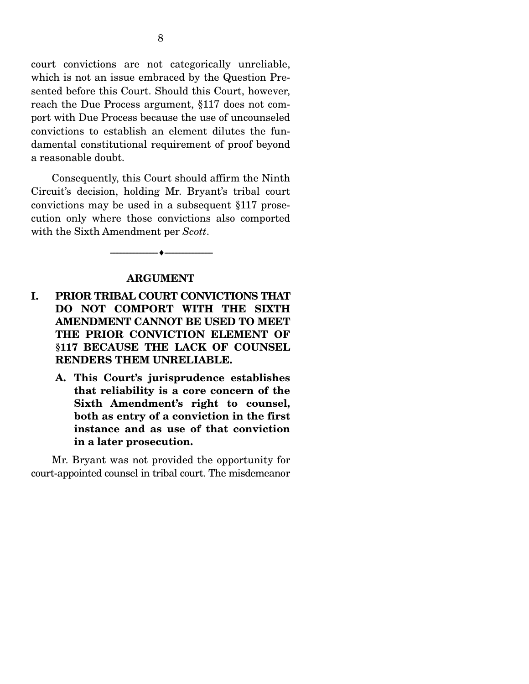court convictions are not categorically unreliable, which is not an issue embraced by the Question Presented before this Court. Should this Court, however, reach the Due Process argument, §117 does not comport with Due Process because the use of uncounseled convictions to establish an element dilutes the fundamental constitutional requirement of proof beyond a reasonable doubt.

 Consequently, this Court should affirm the Ninth Circuit's decision, holding Mr. Bryant's tribal court convictions may be used in a subsequent §117 prosecution only where those convictions also comported with the Sixth Amendment per *Scott*.

#### **ARGUMENT**

--------------------------------- ---------------------------------

- **I. PRIOR TRIBAL COURT CONVICTIONS THAT DO NOT COMPORT WITH THE SIXTH AMENDMENT CANNOT BE USED TO MEET THE PRIOR CONVICTION ELEMENT OF §117 BECAUSE THE LACK OF COUNSEL RENDERS THEM UNRELIABLE.** 
	- **A. This Court's jurisprudence establishes that reliability is a core concern of the Sixth Amendment's right to counsel, both as entry of a conviction in the first instance and as use of that conviction in a later prosecution.**

 Mr. Bryant was not provided the opportunity for court-appointed counsel in tribal court. The misdemeanor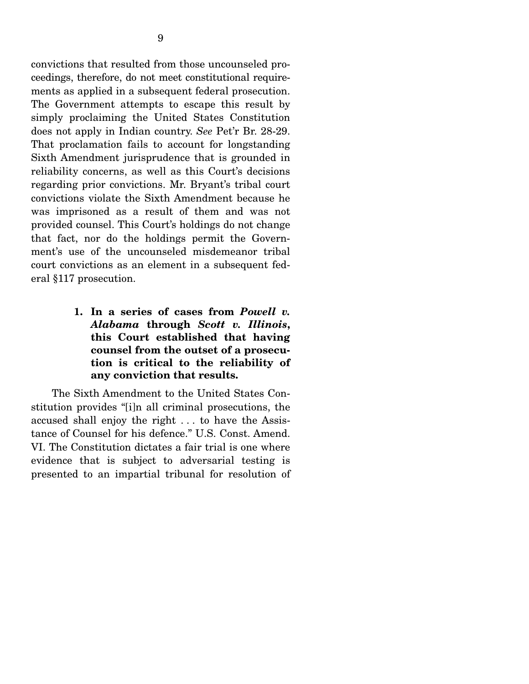convictions that resulted from those uncounseled proceedings, therefore, do not meet constitutional requirements as applied in a subsequent federal prosecution. The Government attempts to escape this result by simply proclaiming the United States Constitution does not apply in Indian country. *See* Pet'r Br. 28-29. That proclamation fails to account for longstanding Sixth Amendment jurisprudence that is grounded in reliability concerns, as well as this Court's decisions regarding prior convictions. Mr. Bryant's tribal court convictions violate the Sixth Amendment because he was imprisoned as a result of them and was not provided counsel. This Court's holdings do not change that fact, nor do the holdings permit the Government's use of the uncounseled misdemeanor tribal court convictions as an element in a subsequent federal §117 prosecution.

> **1. In a series of cases from** *Powell v. Alabama* **through** *Scott v. Illinois***, this Court established that having counsel from the outset of a prosecution is critical to the reliability of any conviction that results.**

The Sixth Amendment to the United States Constitution provides "[i]n all criminal prosecutions, the accused shall enjoy the right . . . to have the Assistance of Counsel for his defence." U.S. Const. Amend. VI. The Constitution dictates a fair trial is one where evidence that is subject to adversarial testing is presented to an impartial tribunal for resolution of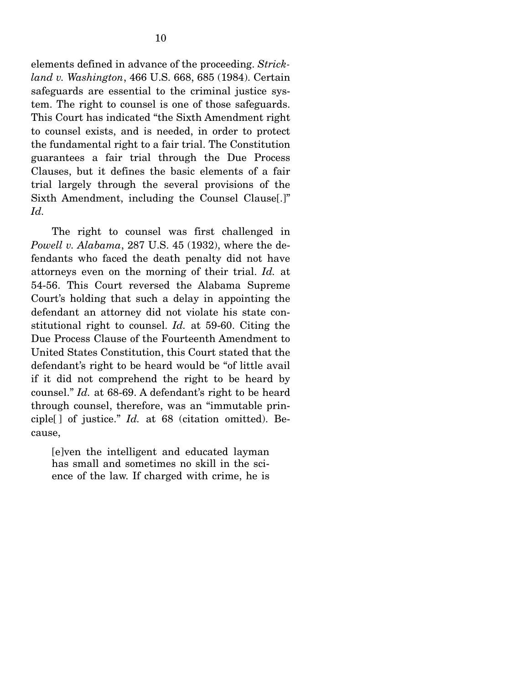elements defined in advance of the proceeding. *Strickland v. Washington*, 466 U.S. 668, 685 (1984). Certain safeguards are essential to the criminal justice system. The right to counsel is one of those safeguards. This Court has indicated "the Sixth Amendment right to counsel exists, and is needed, in order to protect the fundamental right to a fair trial. The Constitution guarantees a fair trial through the Due Process Clauses, but it defines the basic elements of a fair trial largely through the several provisions of the Sixth Amendment, including the Counsel Clause[.]" *Id.* 

 The right to counsel was first challenged in *Powell v. Alabama*, 287 U.S. 45 (1932), where the defendants who faced the death penalty did not have attorneys even on the morning of their trial. *Id.* at 54-56. This Court reversed the Alabama Supreme Court's holding that such a delay in appointing the defendant an attorney did not violate his state constitutional right to counsel. *Id.* at 59-60. Citing the Due Process Clause of the Fourteenth Amendment to United States Constitution, this Court stated that the defendant's right to be heard would be "of little avail if it did not comprehend the right to be heard by counsel." *Id.* at 68-69. A defendant's right to be heard through counsel, therefore, was an "immutable principle[ ] of justice." *Id.* at 68 (citation omitted). Because,

[e]ven the intelligent and educated layman has small and sometimes no skill in the science of the law. If charged with crime, he is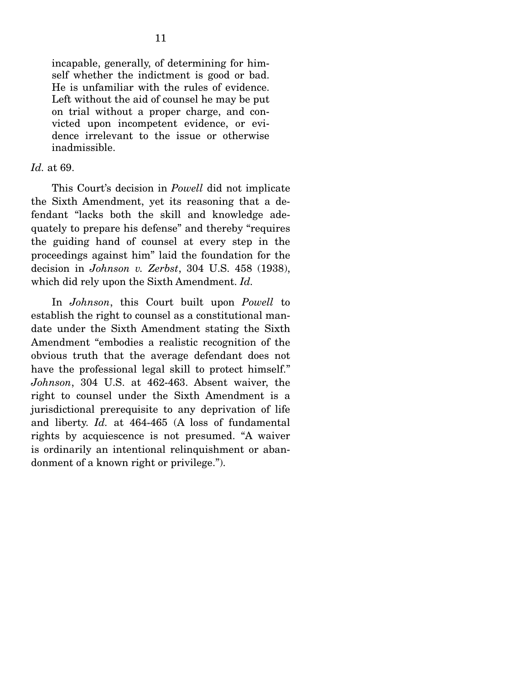incapable, generally, of determining for himself whether the indictment is good or bad. He is unfamiliar with the rules of evidence. Left without the aid of counsel he may be put on trial without a proper charge, and convicted upon incompetent evidence, or evidence irrelevant to the issue or otherwise inadmissible.

#### *Id.* at 69.

 This Court's decision in *Powell* did not implicate the Sixth Amendment, yet its reasoning that a defendant "lacks both the skill and knowledge adequately to prepare his defense" and thereby "requires the guiding hand of counsel at every step in the proceedings against him" laid the foundation for the decision in *Johnson v. Zerbst*, 304 U.S. 458 (1938), which did rely upon the Sixth Amendment. *Id.*

 In *Johnson*, this Court built upon *Powell* to establish the right to counsel as a constitutional mandate under the Sixth Amendment stating the Sixth Amendment "embodies a realistic recognition of the obvious truth that the average defendant does not have the professional legal skill to protect himself." *Johnson*, 304 U.S. at 462-463. Absent waiver, the right to counsel under the Sixth Amendment is a jurisdictional prerequisite to any deprivation of life and liberty. *Id.* at 464-465 (A loss of fundamental rights by acquiescence is not presumed. "A waiver is ordinarily an intentional relinquishment or abandonment of a known right or privilege.").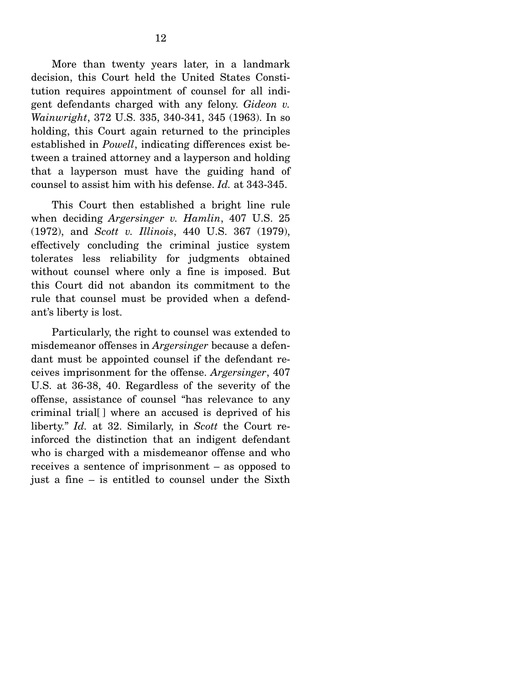More than twenty years later, in a landmark decision, this Court held the United States Constitution requires appointment of counsel for all indigent defendants charged with any felony. *Gideon v. Wainwright*, 372 U.S. 335, 340-341, 345 (1963). In so holding, this Court again returned to the principles established in *Powell*, indicating differences exist between a trained attorney and a layperson and holding that a layperson must have the guiding hand of counsel to assist him with his defense. *Id.* at 343-345.

 This Court then established a bright line rule when deciding *Argersinger v. Hamlin*, 407 U.S. 25 (1972), and *Scott v. Illinois*, 440 U.S. 367 (1979), effectively concluding the criminal justice system tolerates less reliability for judgments obtained without counsel where only a fine is imposed. But this Court did not abandon its commitment to the rule that counsel must be provided when a defendant's liberty is lost.

 Particularly, the right to counsel was extended to misdemeanor offenses in *Argersinger* because a defendant must be appointed counsel if the defendant receives imprisonment for the offense. *Argersinger*, 407 U.S. at 36-38, 40. Regardless of the severity of the offense, assistance of counsel "has relevance to any criminal trial[ ] where an accused is deprived of his liberty." *Id.* at 32. Similarly, in *Scott* the Court reinforced the distinction that an indigent defendant who is charged with a misdemeanor offense and who receives a sentence of imprisonment – as opposed to just a fine – is entitled to counsel under the Sixth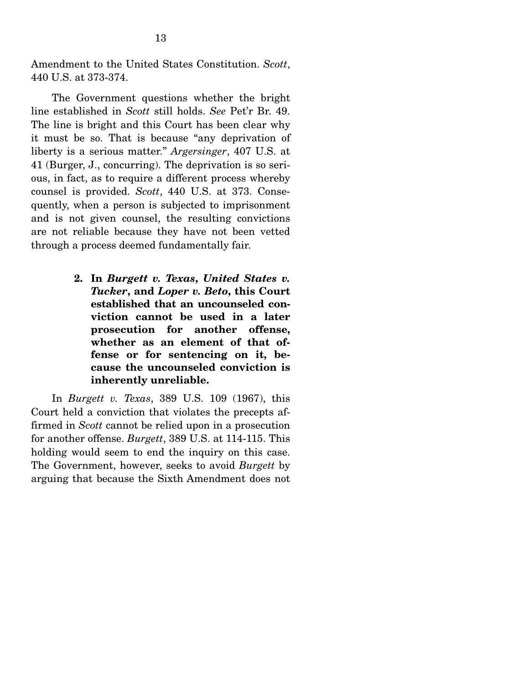Amendment to the United States Constitution. *Scott*, 440 U.S. at 373-374.

 The Government questions whether the bright line established in *Scott* still holds. *See* Pet'r Br. 49. The line is bright and this Court has been clear why it must be so. That is because "any deprivation of liberty is a serious matter." *Argersinger*, 407 U.S. at 41 (Burger, J., concurring). The deprivation is so serious, in fact, as to require a different process whereby counsel is provided. *Scott*, 440 U.S. at 373. Consequently, when a person is subjected to imprisonment and is not given counsel, the resulting convictions are not reliable because they have not been vetted through a process deemed fundamentally fair.

> **2. In** *Burgett v. Texas***,** *United States v. Tucker***, and** *Loper v. Beto***, this Court established that an uncounseled conviction cannot be used in a later prosecution for another offense, whether as an element of that offense or for sentencing on it, because the uncounseled conviction is inherently unreliable.**

In *Burgett v. Texas*, 389 U.S. 109 (1967), this Court held a conviction that violates the precepts affirmed in *Scott* cannot be relied upon in a prosecution for another offense. *Burgett*, 389 U.S. at 114-115. This holding would seem to end the inquiry on this case. The Government, however, seeks to avoid *Burgett* by arguing that because the Sixth Amendment does not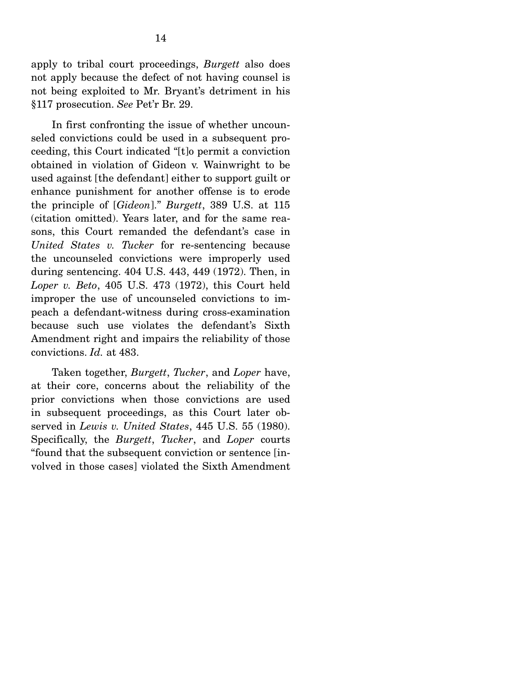apply to tribal court proceedings, *Burgett* also does not apply because the defect of not having counsel is not being exploited to Mr. Bryant's detriment in his §117 prosecution. *See* Pet'r Br. 29.

 In first confronting the issue of whether uncounseled convictions could be used in a subsequent proceeding, this Court indicated "[t]o permit a conviction obtained in violation of Gideon v. Wainwright to be used against [the defendant] either to support guilt or enhance punishment for another offense is to erode the principle of [*Gideon*]." *Burgett*, 389 U.S. at 115 (citation omitted). Years later, and for the same reasons, this Court remanded the defendant's case in *United States v. Tucker* for re-sentencing because the uncounseled convictions were improperly used during sentencing. 404 U.S. 443, 449 (1972). Then, in *Loper v. Beto*, 405 U.S. 473 (1972), this Court held improper the use of uncounseled convictions to impeach a defendant-witness during cross-examination because such use violates the defendant's Sixth Amendment right and impairs the reliability of those convictions. *Id.* at 483.

 Taken together, *Burgett*, *Tucker*, and *Loper* have, at their core, concerns about the reliability of the prior convictions when those convictions are used in subsequent proceedings, as this Court later observed in *Lewis v. United States*, 445 U.S. 55 (1980). Specifically, the *Burgett*, *Tucker*, and *Loper* courts "found that the subsequent conviction or sentence [involved in those cases] violated the Sixth Amendment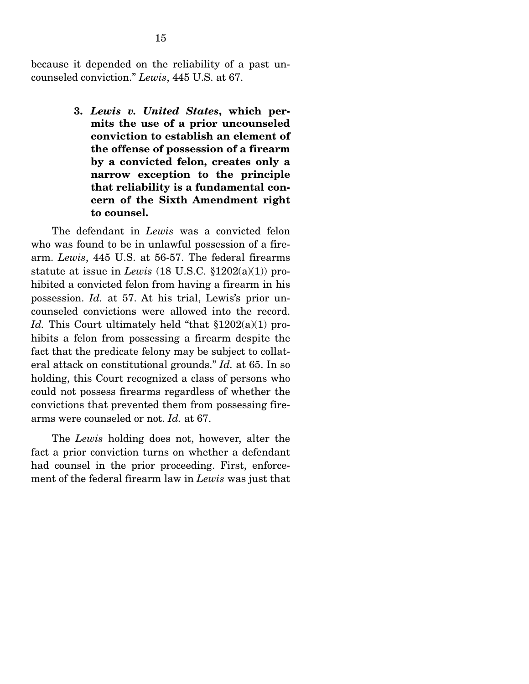because it depended on the reliability of a past uncounseled conviction." *Lewis*, 445 U.S. at 67.

> **3.** *Lewis v. United States***, which permits the use of a prior uncounseled conviction to establish an element of the offense of possession of a firearm by a convicted felon, creates only a narrow exception to the principle that reliability is a fundamental concern of the Sixth Amendment right to counsel.**

 The defendant in *Lewis* was a convicted felon who was found to be in unlawful possession of a firearm. *Lewis*, 445 U.S. at 56-57. The federal firearms statute at issue in *Lewis* (18 U.S.C. §1202(a)(1)) prohibited a convicted felon from having a firearm in his possession. *Id.* at 57. At his trial, Lewis's prior uncounseled convictions were allowed into the record. *Id.* This Court ultimately held "that §1202(a)(1) prohibits a felon from possessing a firearm despite the fact that the predicate felony may be subject to collateral attack on constitutional grounds." *Id.* at 65. In so holding, this Court recognized a class of persons who could not possess firearms regardless of whether the convictions that prevented them from possessing firearms were counseled or not. *Id.* at 67.

 The *Lewis* holding does not, however, alter the fact a prior conviction turns on whether a defendant had counsel in the prior proceeding. First, enforcement of the federal firearm law in *Lewis* was just that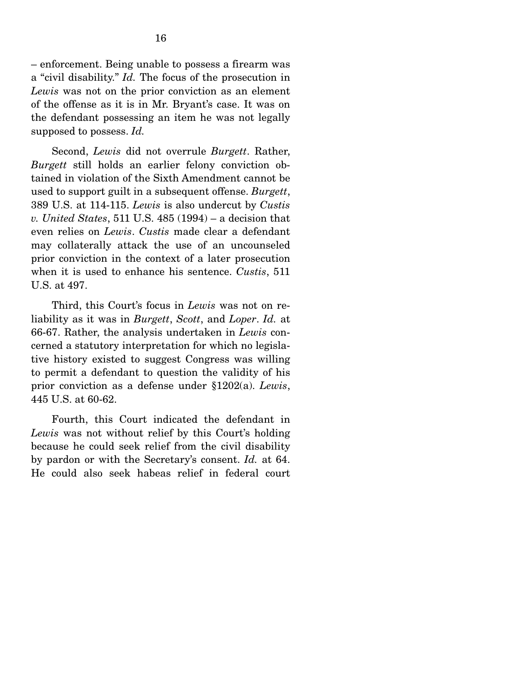– enforcement. Being unable to possess a firearm was a "civil disability." *Id.* The focus of the prosecution in *Lewis* was not on the prior conviction as an element of the offense as it is in Mr. Bryant's case. It was on the defendant possessing an item he was not legally supposed to possess. *Id.*

 Second, *Lewis* did not overrule *Burgett*. Rather, *Burgett* still holds an earlier felony conviction obtained in violation of the Sixth Amendment cannot be used to support guilt in a subsequent offense. *Burgett*, 389 U.S. at 114-115. *Lewis* is also undercut by *Custis v. United States*, 511 U.S. 485 (1994) – a decision that even relies on *Lewis*. *Custis* made clear a defendant may collaterally attack the use of an uncounseled prior conviction in the context of a later prosecution when it is used to enhance his sentence. *Custis*, 511 U.S. at 497.

 Third, this Court's focus in *Lewis* was not on reliability as it was in *Burgett*, *Scott*, and *Loper*. *Id.* at 66-67. Rather, the analysis undertaken in *Lewis* concerned a statutory interpretation for which no legislative history existed to suggest Congress was willing to permit a defendant to question the validity of his prior conviction as a defense under §1202(a). *Lewis*, 445 U.S. at 60-62.

 Fourth, this Court indicated the defendant in *Lewis* was not without relief by this Court's holding because he could seek relief from the civil disability by pardon or with the Secretary's consent. *Id.* at 64. He could also seek habeas relief in federal court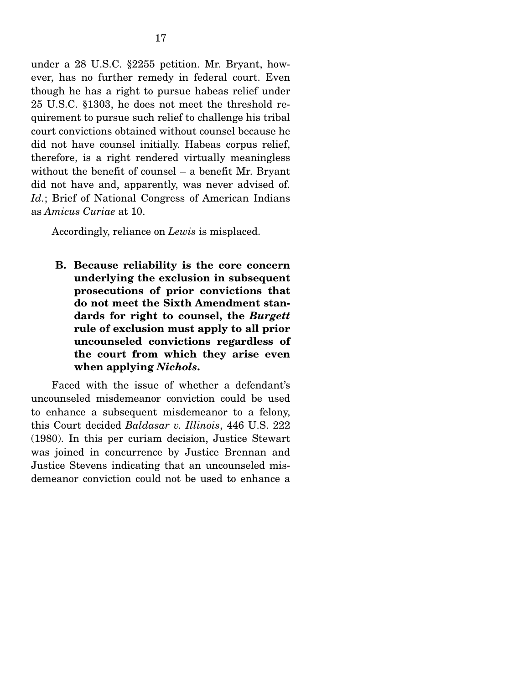under a 28 U.S.C. §2255 petition. Mr. Bryant, however, has no further remedy in federal court. Even though he has a right to pursue habeas relief under 25 U.S.C. §1303, he does not meet the threshold requirement to pursue such relief to challenge his tribal court convictions obtained without counsel because he did not have counsel initially. Habeas corpus relief, therefore, is a right rendered virtually meaningless without the benefit of counsel – a benefit Mr. Bryant did not have and, apparently, was never advised of. *Id.*; Brief of National Congress of American Indians as *Amicus Curiae* at 10.

Accordingly, reliance on *Lewis* is misplaced.

**B. Because reliability is the core concern underlying the exclusion in subsequent prosecutions of prior convictions that do not meet the Sixth Amendment standards for right to counsel, the** *Burgett* **rule of exclusion must apply to all prior uncounseled convictions regardless of the court from which they arise even when applying** *Nichols***.**

 Faced with the issue of whether a defendant's uncounseled misdemeanor conviction could be used to enhance a subsequent misdemeanor to a felony, this Court decided *Baldasar v. Illinois*, 446 U.S. 222 (1980). In this per curiam decision, Justice Stewart was joined in concurrence by Justice Brennan and Justice Stevens indicating that an uncounseled misdemeanor conviction could not be used to enhance a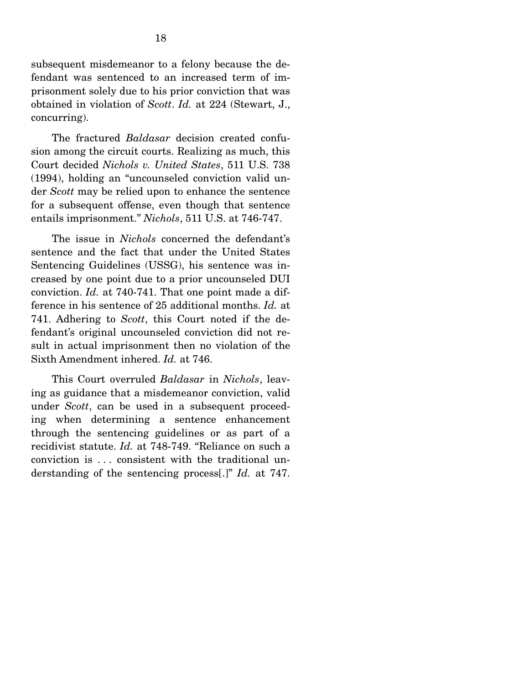subsequent misdemeanor to a felony because the defendant was sentenced to an increased term of imprisonment solely due to his prior conviction that was obtained in violation of *Scott*. *Id.* at 224 (Stewart, J., concurring).

 The fractured *Baldasar* decision created confusion among the circuit courts. Realizing as much, this Court decided *Nichols v. United States*, 511 U.S. 738 (1994), holding an "uncounseled conviction valid under *Scott* may be relied upon to enhance the sentence for a subsequent offense, even though that sentence entails imprisonment." *Nichols*, 511 U.S. at 746-747.

 The issue in *Nichols* concerned the defendant's sentence and the fact that under the United States Sentencing Guidelines (USSG), his sentence was increased by one point due to a prior uncounseled DUI conviction. *Id.* at 740-741. That one point made a difference in his sentence of 25 additional months. *Id.* at 741. Adhering to *Scott*, this Court noted if the defendant's original uncounseled conviction did not result in actual imprisonment then no violation of the Sixth Amendment inhered. *Id.* at 746.

 This Court overruled *Baldasar* in *Nichols*, leaving as guidance that a misdemeanor conviction, valid under *Scott*, can be used in a subsequent proceeding when determining a sentence enhancement through the sentencing guidelines or as part of a recidivist statute. *Id.* at 748-749. "Reliance on such a conviction is . . . consistent with the traditional understanding of the sentencing process[.]" *Id.* at 747.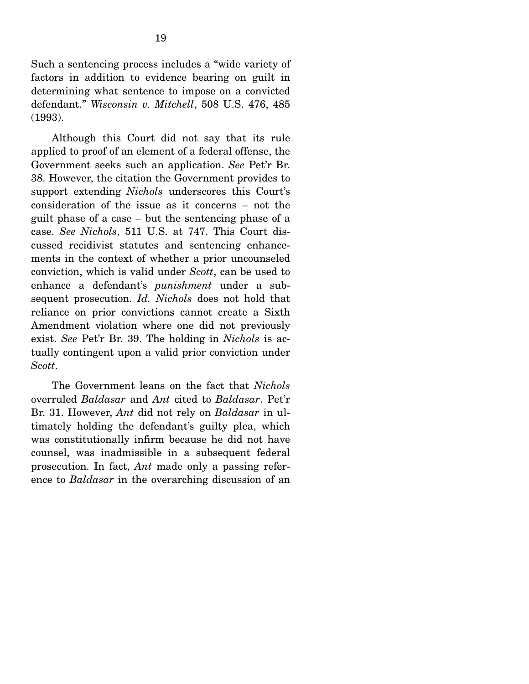Such a sentencing process includes a "wide variety of factors in addition to evidence bearing on guilt in determining what sentence to impose on a convicted defendant." *Wisconsin v. Mitchell*, 508 U.S. 476, 485 (1993).

 Although this Court did not say that its rule applied to proof of an element of a federal offense, the Government seeks such an application. *See* Pet'r Br. 38. However, the citation the Government provides to support extending *Nichols* underscores this Court's consideration of the issue as it concerns – not the guilt phase of a case – but the sentencing phase of a case. *See Nichols*, 511 U.S. at 747. This Court discussed recidivist statutes and sentencing enhancements in the context of whether a prior uncounseled conviction, which is valid under *Scott*, can be used to enhance a defendant's *punishment* under a subsequent prosecution. *Id. Nichols* does not hold that reliance on prior convictions cannot create a Sixth Amendment violation where one did not previously exist. *See* Pet'r Br. 39. The holding in *Nichols* is actually contingent upon a valid prior conviction under *Scott*.

 The Government leans on the fact that *Nichols* overruled *Baldasar* and *Ant* cited to *Baldasar*. Pet'r Br. 31. However, *Ant* did not rely on *Baldasar* in ultimately holding the defendant's guilty plea, which was constitutionally infirm because he did not have counsel, was inadmissible in a subsequent federal prosecution. In fact, *Ant* made only a passing reference to *Baldasar* in the overarching discussion of an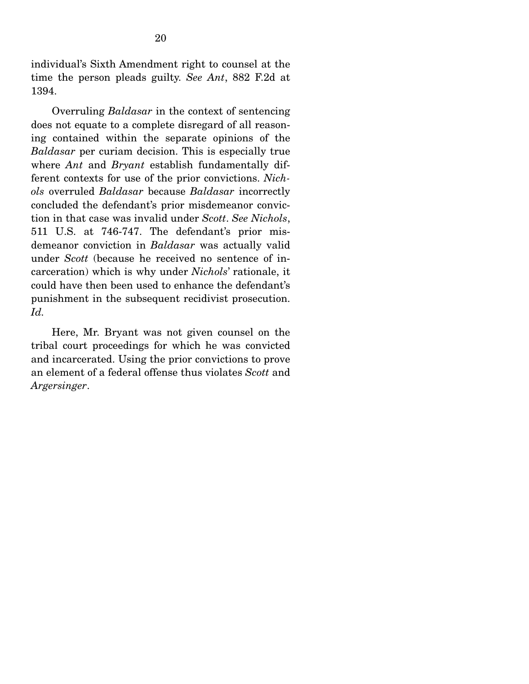individual's Sixth Amendment right to counsel at the time the person pleads guilty. *See Ant*, 882 F.2d at 1394.

 Overruling *Baldasar* in the context of sentencing does not equate to a complete disregard of all reasoning contained within the separate opinions of the *Baldasar* per curiam decision. This is especially true where *Ant* and *Bryant* establish fundamentally different contexts for use of the prior convictions. *Nichols* overruled *Baldasar* because *Baldasar* incorrectly concluded the defendant's prior misdemeanor conviction in that case was invalid under *Scott*. *See Nichols*, 511 U.S. at 746-747. The defendant's prior misdemeanor conviction in *Baldasar* was actually valid under *Scott* (because he received no sentence of incarceration) which is why under *Nichols*' rationale, it could have then been used to enhance the defendant's punishment in the subsequent recidivist prosecution. *Id.*

 Here, Mr. Bryant was not given counsel on the tribal court proceedings for which he was convicted and incarcerated. Using the prior convictions to prove an element of a federal offense thus violates *Scott* and *Argersinger*.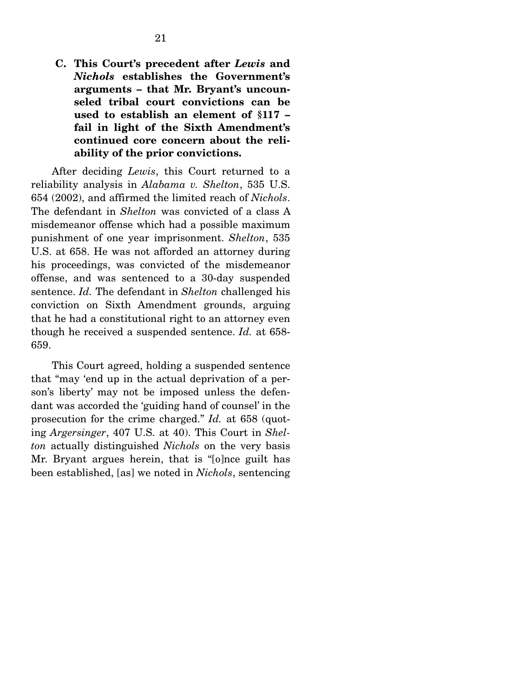**C. This Court's precedent after** *Lewis* **and**  *Nichols* **establishes the Government's arguments – that Mr. Bryant's uncounseled tribal court convictions can be used to establish an element of §117 – fail in light of the Sixth Amendment's continued core concern about the reliability of the prior convictions.** 

 After deciding *Lewis*, this Court returned to a reliability analysis in *Alabama v. Shelton*, 535 U.S. 654 (2002), and affirmed the limited reach of *Nichols*. The defendant in *Shelton* was convicted of a class A misdemeanor offense which had a possible maximum punishment of one year imprisonment. *Shelton*, 535 U.S. at 658. He was not afforded an attorney during his proceedings, was convicted of the misdemeanor offense, and was sentenced to a 30-day suspended sentence. *Id.* The defendant in *Shelton* challenged his conviction on Sixth Amendment grounds, arguing that he had a constitutional right to an attorney even though he received a suspended sentence. *Id.* at 658- 659.

 This Court agreed, holding a suspended sentence that "may 'end up in the actual deprivation of a person's liberty' may not be imposed unless the defendant was accorded the 'guiding hand of counsel' in the prosecution for the crime charged." *Id.* at 658 (quoting *Argersinger*, 407 U.S. at 40). This Court in *Shelton* actually distinguished *Nichols* on the very basis Mr. Bryant argues herein, that is "[o]nce guilt has been established, [as] we noted in *Nichols*, sentencing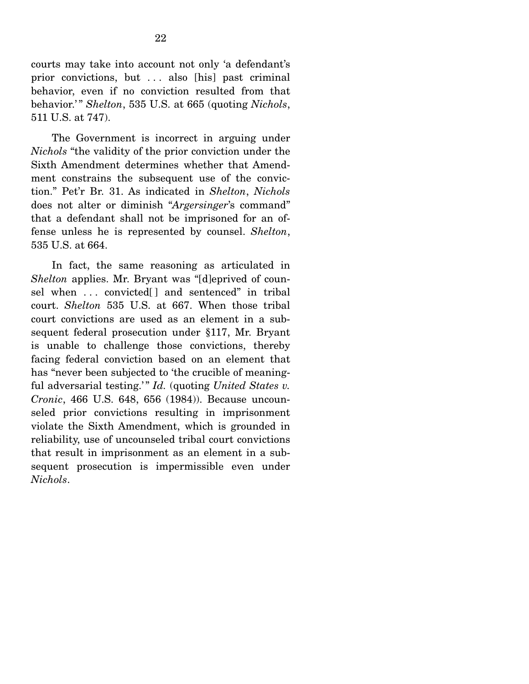courts may take into account not only 'a defendant's prior convictions, but ... also [his] past criminal behavior, even if no conviction resulted from that behavior.'" *Shelton*, 535 U.S. at 665 (quoting *Nichols*, 511 U.S. at 747).

 The Government is incorrect in arguing under *Nichols* "the validity of the prior conviction under the Sixth Amendment determines whether that Amendment constrains the subsequent use of the conviction." Pet'r Br. 31. As indicated in *Shelton*, *Nichols* does not alter or diminish "*Argersinger*'s command" that a defendant shall not be imprisoned for an offense unless he is represented by counsel. *Shelton*, 535 U.S. at 664.

 In fact, the same reasoning as articulated in *Shelton* applies. Mr. Bryant was "[d]eprived of counsel when ... convicted[] and sentenced" in tribal court. *Shelton* 535 U.S. at 667. When those tribal court convictions are used as an element in a subsequent federal prosecution under §117, Mr. Bryant is unable to challenge those convictions, thereby facing federal conviction based on an element that has "never been subjected to 'the crucible of meaningful adversarial testing.'" *Id.* (quoting *United States v. Cronic*, 466 U.S. 648, 656 (1984)). Because uncounseled prior convictions resulting in imprisonment violate the Sixth Amendment, which is grounded in reliability, use of uncounseled tribal court convictions that result in imprisonment as an element in a subsequent prosecution is impermissible even under *Nichols*.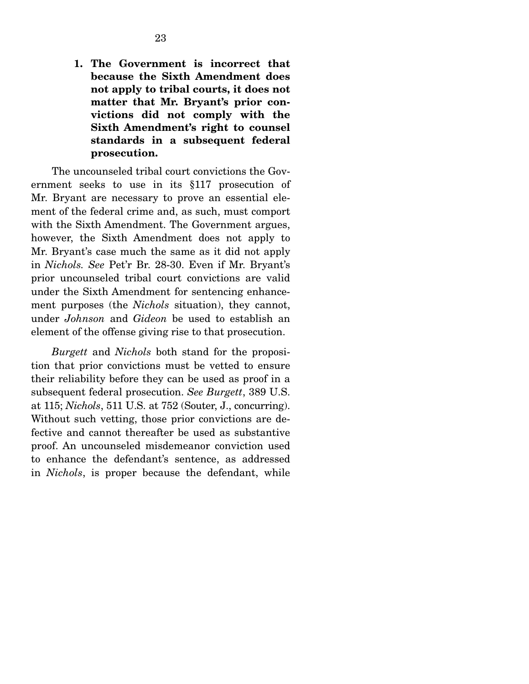**1. The Government is incorrect that because the Sixth Amendment does not apply to tribal courts, it does not matter that Mr. Bryant's prior convictions did not comply with the Sixth Amendment's right to counsel standards in a subsequent federal prosecution.** 

The uncounseled tribal court convictions the Government seeks to use in its §117 prosecution of Mr. Bryant are necessary to prove an essential element of the federal crime and, as such, must comport with the Sixth Amendment. The Government argues, however, the Sixth Amendment does not apply to Mr. Bryant's case much the same as it did not apply in *Nichols. See* Pet'r Br. 28-30. Even if Mr. Bryant's prior uncounseled tribal court convictions are valid under the Sixth Amendment for sentencing enhancement purposes (the *Nichols* situation), they cannot, under *Johnson* and *Gideon* be used to establish an element of the offense giving rise to that prosecution.

*Burgett* and *Nichols* both stand for the proposition that prior convictions must be vetted to ensure their reliability before they can be used as proof in a subsequent federal prosecution. *See Burgett*, 389 U.S. at 115; *Nichols*, 511 U.S. at 752 (Souter, J., concurring). Without such vetting, those prior convictions are defective and cannot thereafter be used as substantive proof. An uncounseled misdemeanor conviction used to enhance the defendant's sentence, as addressed in *Nichols*, is proper because the defendant, while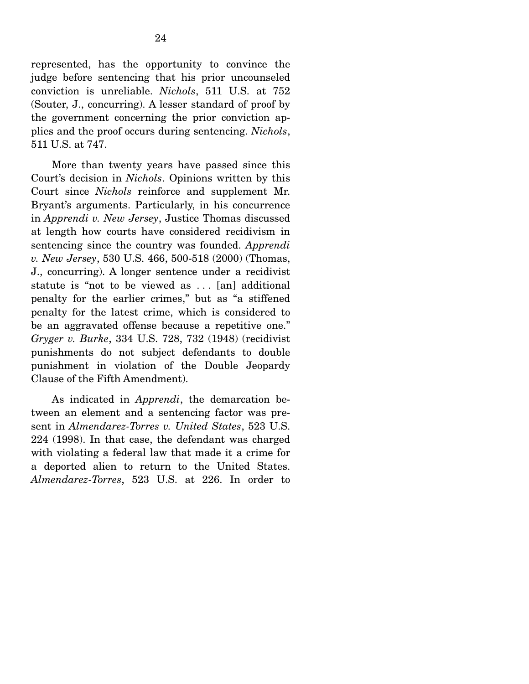represented, has the opportunity to convince the judge before sentencing that his prior uncounseled conviction is unreliable. *Nichols*, 511 U.S. at 752 (Souter, J., concurring). A lesser standard of proof by the government concerning the prior conviction applies and the proof occurs during sentencing. *Nichols*, 511 U.S. at 747.

 More than twenty years have passed since this Court's decision in *Nichols*. Opinions written by this Court since *Nichols* reinforce and supplement Mr. Bryant's arguments. Particularly, in his concurrence in *Apprendi v. New Jersey*, Justice Thomas discussed at length how courts have considered recidivism in sentencing since the country was founded. *Apprendi v. New Jersey*, 530 U.S. 466, 500-518 (2000) (Thomas, J., concurring). A longer sentence under a recidivist statute is "not to be viewed as ... [an] additional penalty for the earlier crimes," but as "a stiffened penalty for the latest crime, which is considered to be an aggravated offense because a repetitive one." *Gryger v. Burke*, 334 U.S. 728, 732 (1948) (recidivist punishments do not subject defendants to double punishment in violation of the Double Jeopardy Clause of the Fifth Amendment).

 As indicated in *Apprendi*, the demarcation between an element and a sentencing factor was present in *Almendarez-Torres v. United States*, 523 U.S. 224 (1998). In that case, the defendant was charged with violating a federal law that made it a crime for a deported alien to return to the United States. *Almendarez-Torres*, 523 U.S. at 226. In order to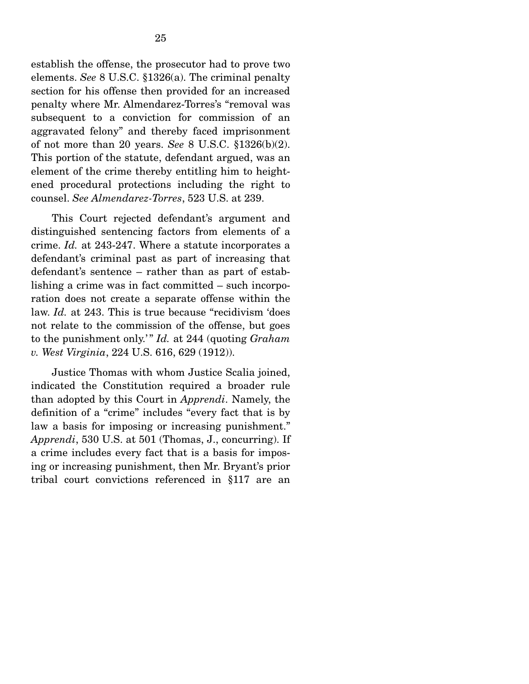establish the offense, the prosecutor had to prove two elements. *See* 8 U.S.C. §1326(a). The criminal penalty section for his offense then provided for an increased penalty where Mr. Almendarez-Torres's "removal was subsequent to a conviction for commission of an aggravated felony" and thereby faced imprisonment of not more than 20 years. *See* 8 U.S.C. §1326(b)(2). This portion of the statute, defendant argued, was an element of the crime thereby entitling him to heightened procedural protections including the right to counsel. *See Almendarez-Torres*, 523 U.S. at 239.

 This Court rejected defendant's argument and distinguished sentencing factors from elements of a crime. *Id.* at 243-247. Where a statute incorporates a defendant's criminal past as part of increasing that defendant's sentence – rather than as part of establishing a crime was in fact committed – such incorporation does not create a separate offense within the law. *Id.* at 243. This is true because "recidivism 'does not relate to the commission of the offense, but goes to the punishment only.' " *Id.* at 244 (quoting *Graham v. West Virginia*, 224 U.S. 616, 629 (1912)).

 Justice Thomas with whom Justice Scalia joined, indicated the Constitution required a broader rule than adopted by this Court in *Apprendi*. Namely, the definition of a "crime" includes "every fact that is by law a basis for imposing or increasing punishment." *Apprendi*, 530 U.S. at 501 (Thomas, J., concurring). If a crime includes every fact that is a basis for imposing or increasing punishment, then Mr. Bryant's prior tribal court convictions referenced in §117 are an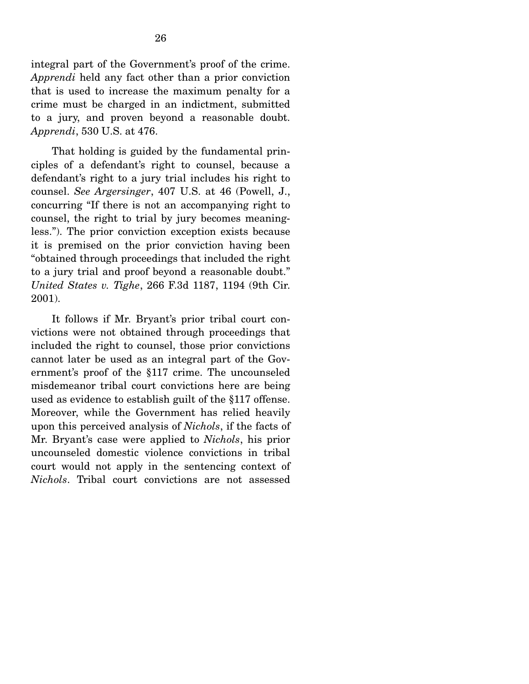integral part of the Government's proof of the crime. *Apprendi* held any fact other than a prior conviction that is used to increase the maximum penalty for a crime must be charged in an indictment, submitted to a jury, and proven beyond a reasonable doubt. *Apprendi*, 530 U.S. at 476.

 That holding is guided by the fundamental principles of a defendant's right to counsel, because a defendant's right to a jury trial includes his right to counsel. *See Argersinger*, 407 U.S. at 46 (Powell, J., concurring "If there is not an accompanying right to counsel, the right to trial by jury becomes meaningless."). The prior conviction exception exists because it is premised on the prior conviction having been "obtained through proceedings that included the right to a jury trial and proof beyond a reasonable doubt." *United States v. Tighe*, 266 F.3d 1187, 1194 (9th Cir. 2001).

 It follows if Mr. Bryant's prior tribal court convictions were not obtained through proceedings that included the right to counsel, those prior convictions cannot later be used as an integral part of the Government's proof of the §117 crime. The uncounseled misdemeanor tribal court convictions here are being used as evidence to establish guilt of the §117 offense. Moreover, while the Government has relied heavily upon this perceived analysis of *Nichols*, if the facts of Mr. Bryant's case were applied to *Nichols*, his prior uncounseled domestic violence convictions in tribal court would not apply in the sentencing context of *Nichols*. Tribal court convictions are not assessed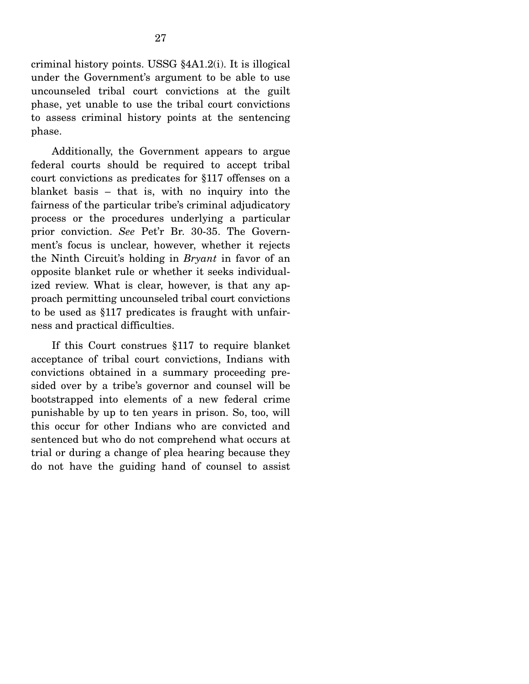criminal history points. USSG §4A1.2(i). It is illogical under the Government's argument to be able to use uncounseled tribal court convictions at the guilt phase, yet unable to use the tribal court convictions to assess criminal history points at the sentencing phase.

 Additionally, the Government appears to argue federal courts should be required to accept tribal court convictions as predicates for §117 offenses on a blanket basis – that is, with no inquiry into the fairness of the particular tribe's criminal adjudicatory process or the procedures underlying a particular prior conviction. *See* Pet'r Br. 30-35. The Government's focus is unclear, however, whether it rejects the Ninth Circuit's holding in *Bryant* in favor of an opposite blanket rule or whether it seeks individualized review. What is clear, however, is that any approach permitting uncounseled tribal court convictions to be used as §117 predicates is fraught with unfairness and practical difficulties.

 If this Court construes §117 to require blanket acceptance of tribal court convictions, Indians with convictions obtained in a summary proceeding presided over by a tribe's governor and counsel will be bootstrapped into elements of a new federal crime punishable by up to ten years in prison. So, too, will this occur for other Indians who are convicted and sentenced but who do not comprehend what occurs at trial or during a change of plea hearing because they do not have the guiding hand of counsel to assist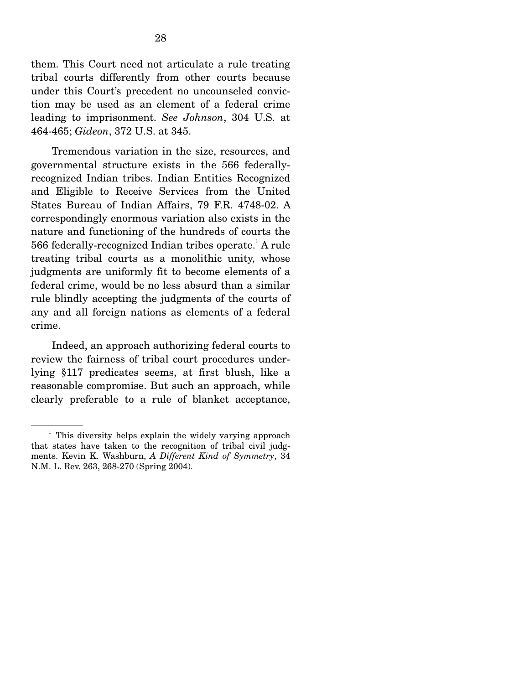them. This Court need not articulate a rule treating tribal courts differently from other courts because under this Court's precedent no uncounseled conviction may be used as an element of a federal crime leading to imprisonment. *See Johnson*, 304 U.S. at 464-465; *Gideon*, 372 U.S. at 345.

 Tremendous variation in the size, resources, and governmental structure exists in the 566 federallyrecognized Indian tribes. Indian Entities Recognized and Eligible to Receive Services from the United States Bureau of Indian Affairs, 79 F.R. 4748-02. A correspondingly enormous variation also exists in the nature and functioning of the hundreds of courts the 566 federally-recognized Indian tribes operate.<sup>1</sup> A rule treating tribal courts as a monolithic unity, whose judgments are uniformly fit to become elements of a federal crime, would be no less absurd than a similar rule blindly accepting the judgments of the courts of any and all foreign nations as elements of a federal crime.

 Indeed, an approach authorizing federal courts to review the fairness of tribal court procedures underlying §117 predicates seems, at first blush, like a reasonable compromise. But such an approach, while clearly preferable to a rule of blanket acceptance,

<sup>&</sup>lt;sup>1</sup> This diversity helps explain the widely varying approach that states have taken to the recognition of tribal civil judgments. Kevin K. Washburn, *A Different Kind of Symmetry*, 34 N.M. L. Rev. 263, 268-270 (Spring 2004).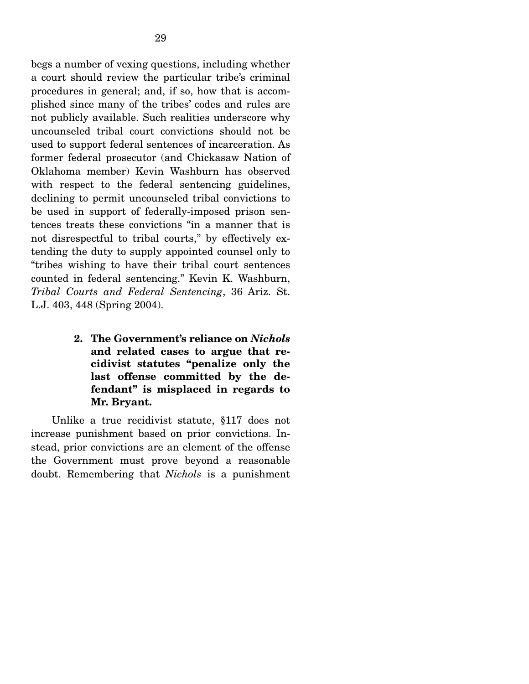begs a number of vexing questions, including whether a court should review the particular tribe's criminal procedures in general; and, if so, how that is accomplished since many of the tribes' codes and rules are not publicly available. Such realities underscore why uncounseled tribal court convictions should not be used to support federal sentences of incarceration. As former federal prosecutor (and Chickasaw Nation of Oklahoma member) Kevin Washburn has observed with respect to the federal sentencing guidelines, declining to permit uncounseled tribal convictions to be used in support of federally-imposed prison sentences treats these convictions "in a manner that is not disrespectful to tribal courts," by effectively extending the duty to supply appointed counsel only to "tribes wishing to have their tribal court sentences counted in federal sentencing." Kevin K. Washburn, *Tribal Courts and Federal Sentencing*, 36 Ariz. St. L.J. 403, 448 (Spring 2004).

> **2. The Government's reliance on** *Nichols* **and related cases to argue that recidivist statutes "penalize only the last offense committed by the defendant" is misplaced in regards to Mr. Bryant.**

Unlike a true recidivist statute, §117 does not increase punishment based on prior convictions. Instead, prior convictions are an element of the offense the Government must prove beyond a reasonable doubt. Remembering that *Nichols* is a punishment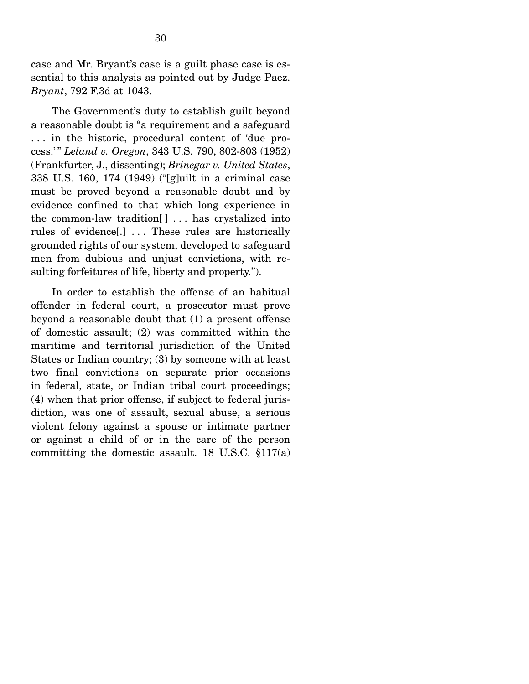case and Mr. Bryant's case is a guilt phase case is essential to this analysis as pointed out by Judge Paez. *Bryant*, 792 F.3d at 1043.

 The Government's duty to establish guilt beyond a reasonable doubt is "a requirement and a safeguard . . . in the historic, procedural content of 'due process.' " *Leland v. Oregon*, 343 U.S. 790, 802-803 (1952) (Frankfurter, J., dissenting); *Brinegar v. United States*, 338 U.S. 160, 174 (1949) ("[g]uilt in a criminal case must be proved beyond a reasonable doubt and by evidence confined to that which long experience in the common-law tradition[ ] . . . has crystalized into rules of evidence[.] . . . These rules are historically grounded rights of our system, developed to safeguard men from dubious and unjust convictions, with resulting forfeitures of life, liberty and property.").

 In order to establish the offense of an habitual offender in federal court, a prosecutor must prove beyond a reasonable doubt that (1) a present offense of domestic assault; (2) was committed within the maritime and territorial jurisdiction of the United States or Indian country; (3) by someone with at least two final convictions on separate prior occasions in federal, state, or Indian tribal court proceedings; (4) when that prior offense, if subject to federal jurisdiction, was one of assault, sexual abuse, a serious violent felony against a spouse or intimate partner or against a child of or in the care of the person committing the domestic assault. 18 U.S.C. §117(a)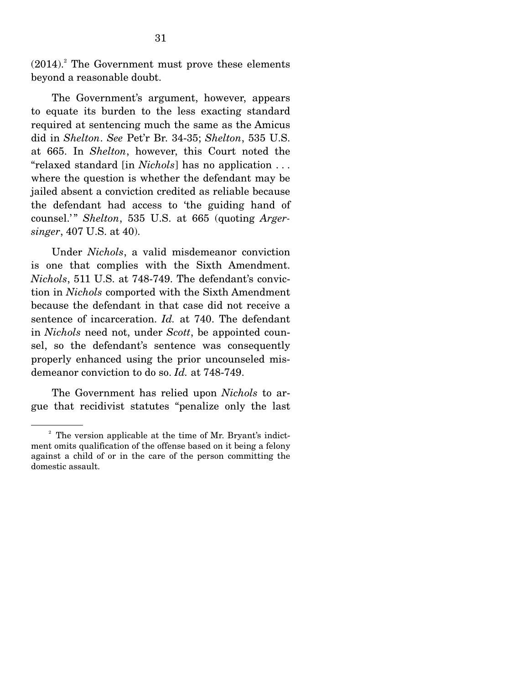$(2014).$ <sup>2</sup> The Government must prove these elements beyond a reasonable doubt.

 The Government's argument, however, appears to equate its burden to the less exacting standard required at sentencing much the same as the Amicus did in *Shelton*. *See* Pet'r Br. 34-35; *Shelton*, 535 U.S. at 665. In *Shelton*, however, this Court noted the "relaxed standard [in *Nichols*] has no application . . . where the question is whether the defendant may be jailed absent a conviction credited as reliable because the defendant had access to 'the guiding hand of counsel.'" *Shelton*, 535 U.S. at 665 (quoting *Argersinger*, 407 U.S. at 40).

 Under *Nichols*, a valid misdemeanor conviction is one that complies with the Sixth Amendment. *Nichols*, 511 U.S. at 748-749. The defendant's conviction in *Nichols* comported with the Sixth Amendment because the defendant in that case did not receive a sentence of incarceration. *Id.* at 740. The defendant in *Nichols* need not, under *Scott*, be appointed counsel, so the defendant's sentence was consequently properly enhanced using the prior uncounseled misdemeanor conviction to do so. *Id.* at 748-749.

 The Government has relied upon *Nichols* to argue that recidivist statutes "penalize only the last

<sup>&</sup>lt;sup>2</sup> The version applicable at the time of Mr. Bryant's indictment omits qualification of the offense based on it being a felony against a child of or in the care of the person committing the domestic assault.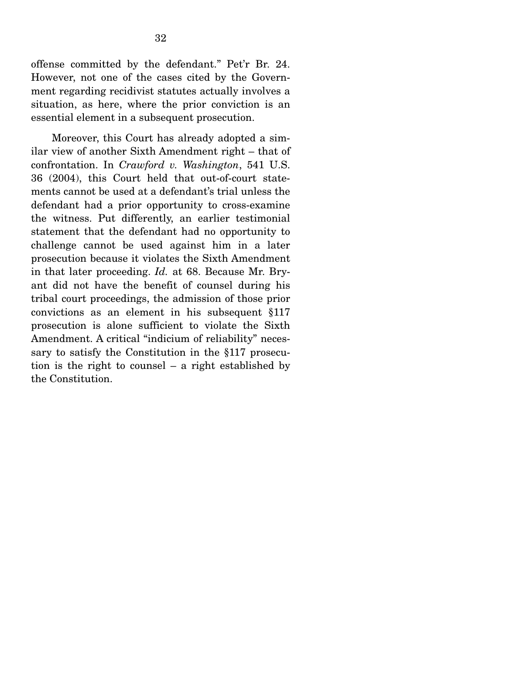offense committed by the defendant." Pet'r Br. 24. However, not one of the cases cited by the Government regarding recidivist statutes actually involves a situation, as here, where the prior conviction is an essential element in a subsequent prosecution.

 Moreover, this Court has already adopted a similar view of another Sixth Amendment right – that of confrontation. In *Crawford v. Washington*, 541 U.S. 36 (2004), this Court held that out-of-court statements cannot be used at a defendant's trial unless the defendant had a prior opportunity to cross-examine the witness. Put differently, an earlier testimonial statement that the defendant had no opportunity to challenge cannot be used against him in a later prosecution because it violates the Sixth Amendment in that later proceeding. *Id.* at 68. Because Mr. Bryant did not have the benefit of counsel during his tribal court proceedings, the admission of those prior convictions as an element in his subsequent §117 prosecution is alone sufficient to violate the Sixth Amendment. A critical "indicium of reliability" necessary to satisfy the Constitution in the §117 prosecution is the right to counsel – a right established by the Constitution.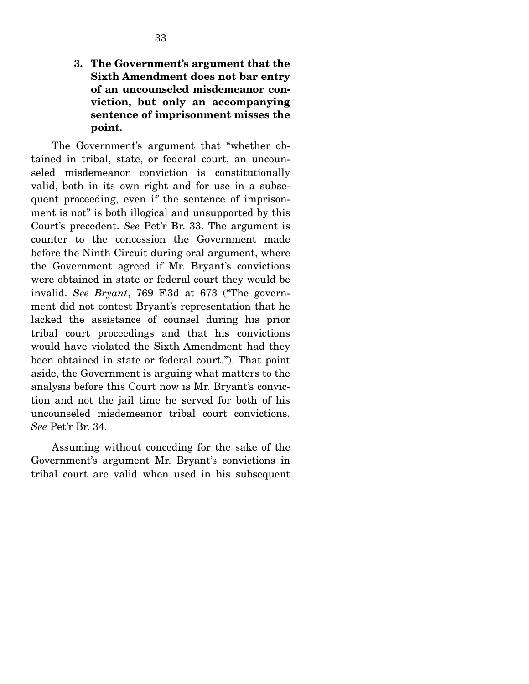**3. The Government's argument that the Sixth Amendment does not bar entry of an uncounseled misdemeanor conviction, but only an accompanying sentence of imprisonment misses the point.** 

 The Government's argument that "whether obtained in tribal, state, or federal court, an uncounseled misdemeanor conviction is constitutionally valid, both in its own right and for use in a subsequent proceeding, even if the sentence of imprisonment is not" is both illogical and unsupported by this Court's precedent. *See* Pet'r Br. 33. The argument is counter to the concession the Government made before the Ninth Circuit during oral argument, where the Government agreed if Mr. Bryant's convictions were obtained in state or federal court they would be invalid. *See Bryant*, 769 F.3d at 673 ("The government did not contest Bryant's representation that he lacked the assistance of counsel during his prior tribal court proceedings and that his convictions would have violated the Sixth Amendment had they been obtained in state or federal court."). That point aside, the Government is arguing what matters to the analysis before this Court now is Mr. Bryant's conviction and not the jail time he served for both of his uncounseled misdemeanor tribal court convictions. *See* Pet'r Br. 34.

 Assuming without conceding for the sake of the Government's argument Mr. Bryant's convictions in tribal court are valid when used in his subsequent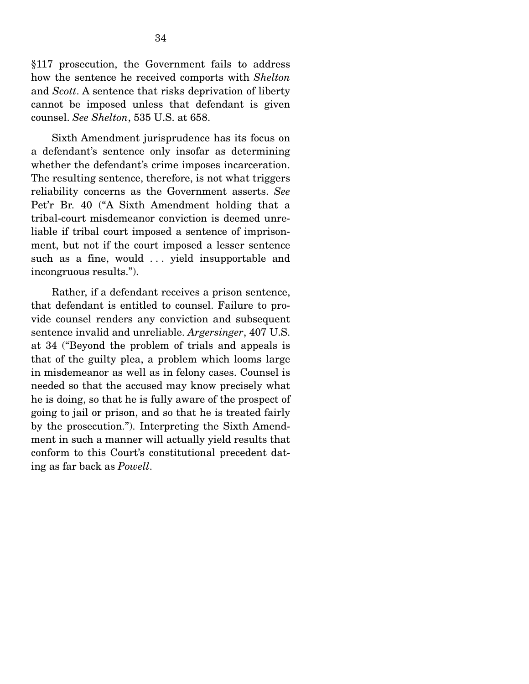§117 prosecution, the Government fails to address how the sentence he received comports with *Shelton*  and *Scott*. A sentence that risks deprivation of liberty cannot be imposed unless that defendant is given counsel. *See Shelton*, 535 U.S. at 658.

 Sixth Amendment jurisprudence has its focus on a defendant's sentence only insofar as determining whether the defendant's crime imposes incarceration. The resulting sentence, therefore, is not what triggers reliability concerns as the Government asserts. *See* Pet'r Br. 40 ("A Sixth Amendment holding that a tribal-court misdemeanor conviction is deemed unreliable if tribal court imposed a sentence of imprisonment, but not if the court imposed a lesser sentence such as a fine, would ... yield insupportable and incongruous results.").

 Rather, if a defendant receives a prison sentence, that defendant is entitled to counsel. Failure to provide counsel renders any conviction and subsequent sentence invalid and unreliable. *Argersinger*, 407 U.S. at 34 ("Beyond the problem of trials and appeals is that of the guilty plea, a problem which looms large in misdemeanor as well as in felony cases. Counsel is needed so that the accused may know precisely what he is doing, so that he is fully aware of the prospect of going to jail or prison, and so that he is treated fairly by the prosecution."). Interpreting the Sixth Amendment in such a manner will actually yield results that conform to this Court's constitutional precedent dating as far back as *Powell*.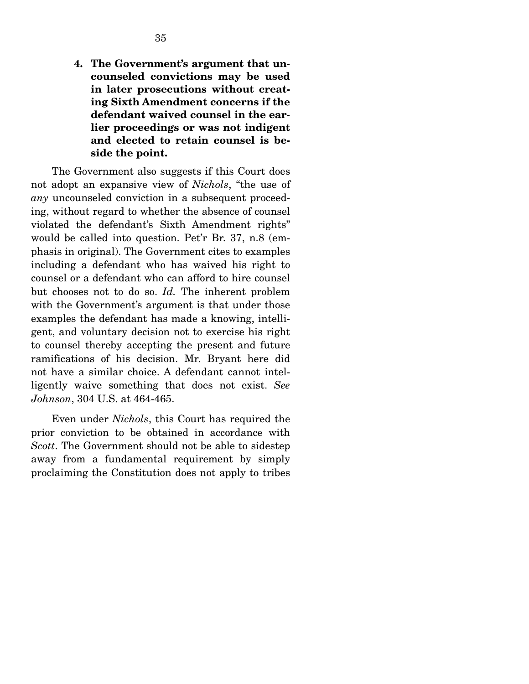**4. The Government's argument that uncounseled convictions may be used in later prosecutions without creating Sixth Amendment concerns if the defendant waived counsel in the earlier proceedings or was not indigent and elected to retain counsel is beside the point.** 

 The Government also suggests if this Court does not adopt an expansive view of *Nichols*, "the use of *any* uncounseled conviction in a subsequent proceeding, without regard to whether the absence of counsel violated the defendant's Sixth Amendment rights" would be called into question. Pet'r Br. 37, n.8 (emphasis in original). The Government cites to examples including a defendant who has waived his right to counsel or a defendant who can afford to hire counsel but chooses not to do so. *Id.* The inherent problem with the Government's argument is that under those examples the defendant has made a knowing, intelligent, and voluntary decision not to exercise his right to counsel thereby accepting the present and future ramifications of his decision. Mr. Bryant here did not have a similar choice. A defendant cannot intelligently waive something that does not exist. *See Johnson*, 304 U.S. at 464-465.

 Even under *Nichols*, this Court has required the prior conviction to be obtained in accordance with *Scott*. The Government should not be able to sidestep away from a fundamental requirement by simply proclaiming the Constitution does not apply to tribes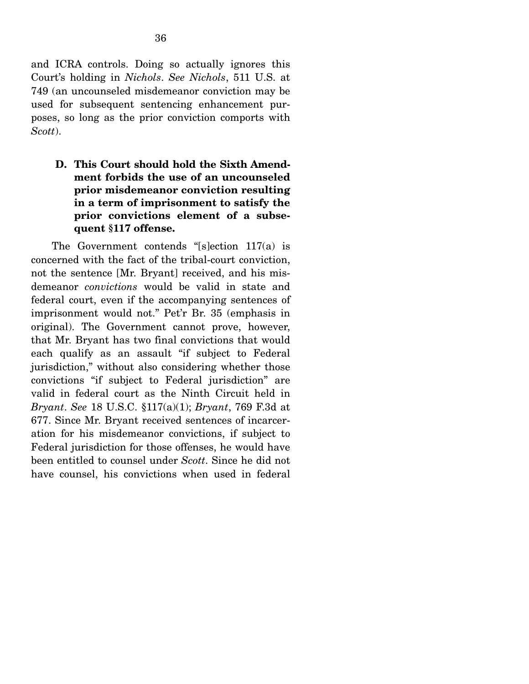and ICRA controls. Doing so actually ignores this Court's holding in *Nichols*. *See Nichols*, 511 U.S. at 749 (an uncounseled misdemeanor conviction may be used for subsequent sentencing enhancement purposes, so long as the prior conviction comports with *Scott*).

**D. This Court should hold the Sixth Amendment forbids the use of an uncounseled prior misdemeanor conviction resulting in a term of imprisonment to satisfy the prior convictions element of a subsequent §117 offense.** 

 The Government contends "[s]ection 117(a) is concerned with the fact of the tribal-court conviction, not the sentence [Mr. Bryant] received, and his misdemeanor *convictions* would be valid in state and federal court, even if the accompanying sentences of imprisonment would not." Pet'r Br. 35 (emphasis in original). The Government cannot prove, however, that Mr. Bryant has two final convictions that would each qualify as an assault "if subject to Federal jurisdiction," without also considering whether those convictions "if subject to Federal jurisdiction" are valid in federal court as the Ninth Circuit held in *Bryant*. *See* 18 U.S.C. §117(a)(1); *Bryant*, 769 F.3d at 677. Since Mr. Bryant received sentences of incarceration for his misdemeanor convictions, if subject to Federal jurisdiction for those offenses, he would have been entitled to counsel under *Scott*. Since he did not have counsel, his convictions when used in federal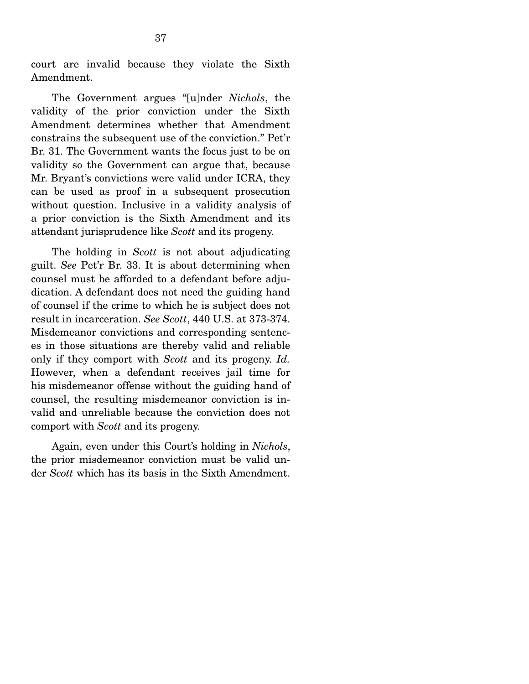court are invalid because they violate the Sixth Amendment.

 The Government argues "[u]nder *Nichols*, the validity of the prior conviction under the Sixth Amendment determines whether that Amendment constrains the subsequent use of the conviction." Pet'r Br. 31. The Government wants the focus just to be on validity so the Government can argue that, because Mr. Bryant's convictions were valid under ICRA, they can be used as proof in a subsequent prosecution without question. Inclusive in a validity analysis of a prior conviction is the Sixth Amendment and its attendant jurisprudence like *Scott* and its progeny.

 The holding in *Scott* is not about adjudicating guilt. *See* Pet'r Br. 33. It is about determining when counsel must be afforded to a defendant before adjudication. A defendant does not need the guiding hand of counsel if the crime to which he is subject does not result in incarceration. *See Scott*, 440 U.S. at 373-374. Misdemeanor convictions and corresponding sentences in those situations are thereby valid and reliable only if they comport with *Scott* and its progeny. *Id.*  However, when a defendant receives jail time for his misdemeanor offense without the guiding hand of counsel, the resulting misdemeanor conviction is invalid and unreliable because the conviction does not comport with *Scott* and its progeny.

 Again, even under this Court's holding in *Nichols*, the prior misdemeanor conviction must be valid under *Scott* which has its basis in the Sixth Amendment.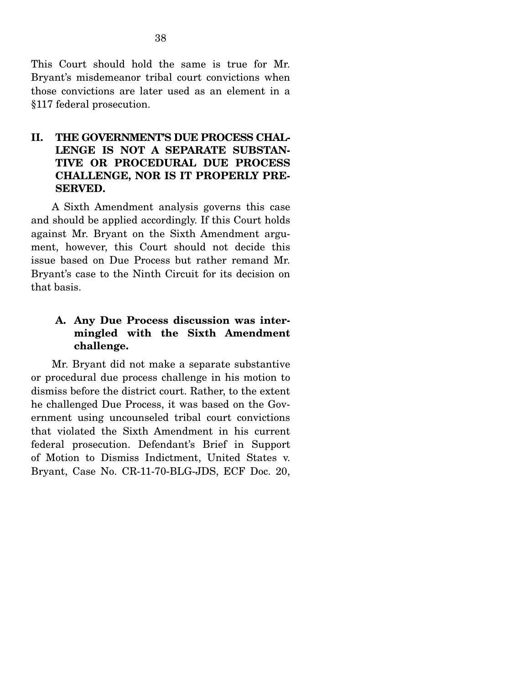This Court should hold the same is true for Mr. Bryant's misdemeanor tribal court convictions when those convictions are later used as an element in a §117 federal prosecution.

### **II. THE GOVERNMENT'S DUE PROCESS CHAL-LENGE IS NOT A SEPARATE SUBSTAN-TIVE OR PROCEDURAL DUE PROCESS CHALLENGE, NOR IS IT PROPERLY PRE-SERVED.**

 A Sixth Amendment analysis governs this case and should be applied accordingly. If this Court holds against Mr. Bryant on the Sixth Amendment argument, however, this Court should not decide this issue based on Due Process but rather remand Mr. Bryant's case to the Ninth Circuit for its decision on that basis.

### **A. Any Due Process discussion was intermingled with the Sixth Amendment challenge.**

Mr. Bryant did not make a separate substantive or procedural due process challenge in his motion to dismiss before the district court. Rather, to the extent he challenged Due Process, it was based on the Government using uncounseled tribal court convictions that violated the Sixth Amendment in his current federal prosecution. Defendant's Brief in Support of Motion to Dismiss Indictment, United States v. Bryant, Case No. CR-11-70-BLG-JDS, ECF Doc. 20,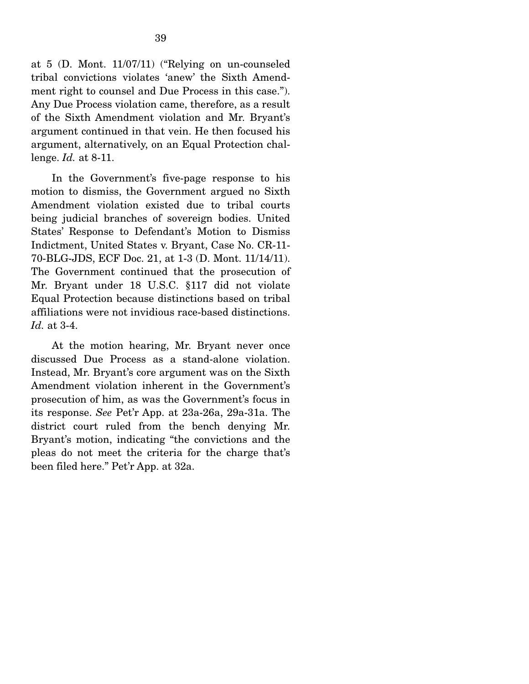at 5 (D. Mont. 11/07/11) ("Relying on un-counseled tribal convictions violates 'anew' the Sixth Amendment right to counsel and Due Process in this case."). Any Due Process violation came, therefore, as a result of the Sixth Amendment violation and Mr. Bryant's argument continued in that vein. He then focused his argument, alternatively, on an Equal Protection challenge. *Id.* at 8-11.

 In the Government's five-page response to his motion to dismiss, the Government argued no Sixth Amendment violation existed due to tribal courts being judicial branches of sovereign bodies. United States' Response to Defendant's Motion to Dismiss Indictment, United States v. Bryant, Case No. CR-11- 70-BLG-JDS, ECF Doc. 21, at 1-3 (D. Mont. 11/14/11). The Government continued that the prosecution of Mr. Bryant under 18 U.S.C. §117 did not violate Equal Protection because distinctions based on tribal affiliations were not invidious race-based distinctions. *Id.* at 3-4.

 At the motion hearing, Mr. Bryant never once discussed Due Process as a stand-alone violation. Instead, Mr. Bryant's core argument was on the Sixth Amendment violation inherent in the Government's prosecution of him, as was the Government's focus in its response. *See* Pet'r App. at 23a-26a, 29a-31a. The district court ruled from the bench denying Mr. Bryant's motion, indicating "the convictions and the pleas do not meet the criteria for the charge that's been filed here." Pet'r App. at 32a.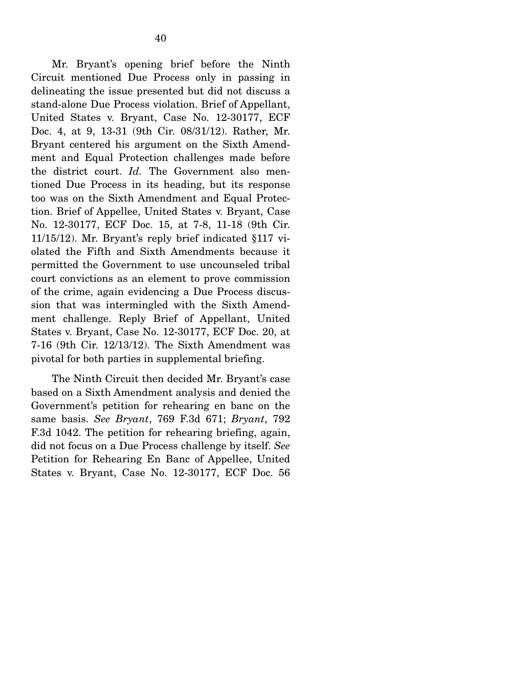Mr. Bryant's opening brief before the Ninth Circuit mentioned Due Process only in passing in delineating the issue presented but did not discuss a stand-alone Due Process violation. Brief of Appellant, United States v. Bryant, Case No. 12-30177, ECF Doc. 4, at 9, 13-31 (9th Cir. 08/31/12). Rather, Mr. Bryant centered his argument on the Sixth Amendment and Equal Protection challenges made before the district court. *Id.* The Government also mentioned Due Process in its heading, but its response too was on the Sixth Amendment and Equal Protection. Brief of Appellee, United States v. Bryant, Case No. 12-30177, ECF Doc. 15, at 7-8, 11-18 (9th Cir. 11/15/12). Mr. Bryant's reply brief indicated §117 violated the Fifth and Sixth Amendments because it permitted the Government to use uncounseled tribal court convictions as an element to prove commission of the crime, again evidencing a Due Process discussion that was intermingled with the Sixth Amendment challenge. Reply Brief of Appellant, United States v. Bryant, Case No. 12-30177, ECF Doc. 20, at 7-16 (9th Cir. 12/13/12). The Sixth Amendment was pivotal for both parties in supplemental briefing.

 The Ninth Circuit then decided Mr. Bryant's case based on a Sixth Amendment analysis and denied the Government's petition for rehearing en banc on the same basis. *See Bryant*, 769 F.3d 671; *Bryant*, 792 F.3d 1042. The petition for rehearing briefing, again, did not focus on a Due Process challenge by itself. *See* Petition for Rehearing En Banc of Appellee, United States v. Bryant, Case No. 12-30177, ECF Doc. 56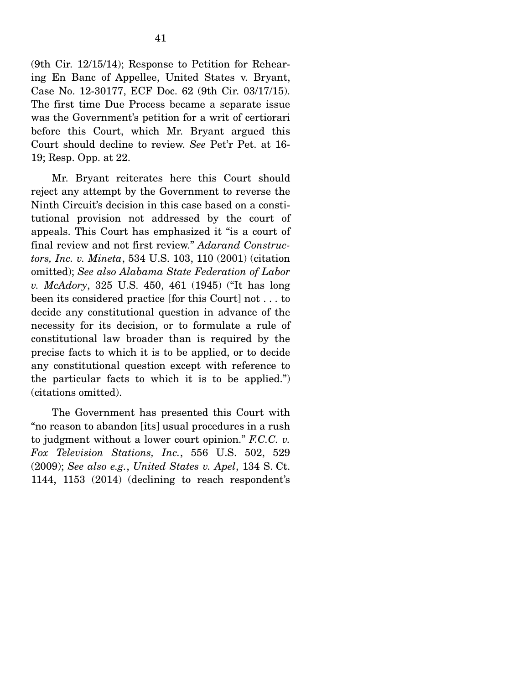(9th Cir. 12/15/14); Response to Petition for Rehearing En Banc of Appellee, United States v. Bryant, Case No. 12-30177, ECF Doc. 62 (9th Cir. 03/17/15). The first time Due Process became a separate issue was the Government's petition for a writ of certiorari before this Court, which Mr. Bryant argued this Court should decline to review. *See* Pet'r Pet. at 16- 19; Resp. Opp. at 22.

 Mr. Bryant reiterates here this Court should reject any attempt by the Government to reverse the Ninth Circuit's decision in this case based on a constitutional provision not addressed by the court of appeals. This Court has emphasized it "is a court of final review and not first review." *Adarand Constructors, Inc. v. Mineta*, 534 U.S. 103, 110 (2001) (citation omitted); *See also Alabama State Federation of Labor v. McAdory*, 325 U.S. 450, 461 (1945) ("It has long been its considered practice [for this Court] not . . . to decide any constitutional question in advance of the necessity for its decision, or to formulate a rule of constitutional law broader than is required by the precise facts to which it is to be applied, or to decide any constitutional question except with reference to the particular facts to which it is to be applied.") (citations omitted).

 The Government has presented this Court with "no reason to abandon [its] usual procedures in a rush to judgment without a lower court opinion." *F.C.C. v. Fox Television Stations, Inc.*, 556 U.S. 502, 529 (2009); *See also e.g.*, *United States v. Apel*, 134 S. Ct. 1144, 1153 (2014) (declining to reach respondent's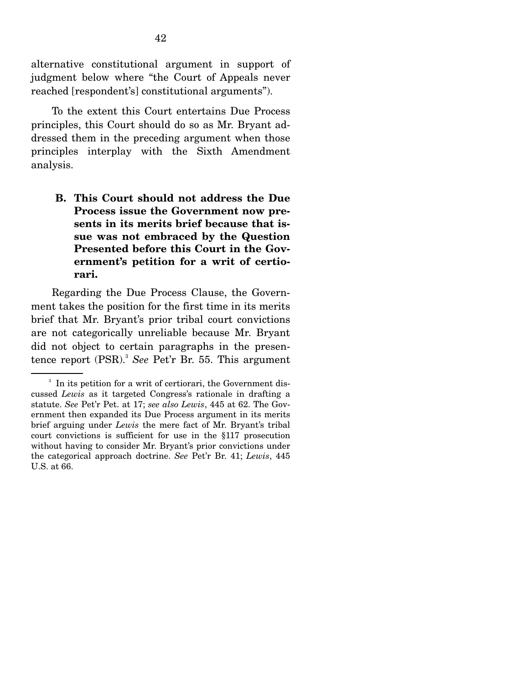alternative constitutional argument in support of judgment below where "the Court of Appeals never reached [respondent's] constitutional arguments").

 To the extent this Court entertains Due Process principles, this Court should do so as Mr. Bryant addressed them in the preceding argument when those principles interplay with the Sixth Amendment analysis.

**B. This Court should not address the Due Process issue the Government now presents in its merits brief because that issue was not embraced by the Question Presented before this Court in the Government's petition for a writ of certiorari.** 

 Regarding the Due Process Clause, the Government takes the position for the first time in its merits brief that Mr. Bryant's prior tribal court convictions are not categorically unreliable because Mr. Bryant did not object to certain paragraphs in the presentence report (PSR).<sup>3</sup> See Pet'r Br. 55. This argument

<sup>&</sup>lt;sup>3</sup> In its petition for a writ of certiorari, the Government discussed *Lewis* as it targeted Congress's rationale in drafting a statute. *See* Pet'r Pet. at 17; *see also Lewis*, 445 at 62. The Government then expanded its Due Process argument in its merits brief arguing under *Lewis* the mere fact of Mr. Bryant's tribal court convictions is sufficient for use in the §117 prosecution without having to consider Mr. Bryant's prior convictions under the categorical approach doctrine. *See* Pet'r Br. 41; *Lewis*, 445 U.S. at 66.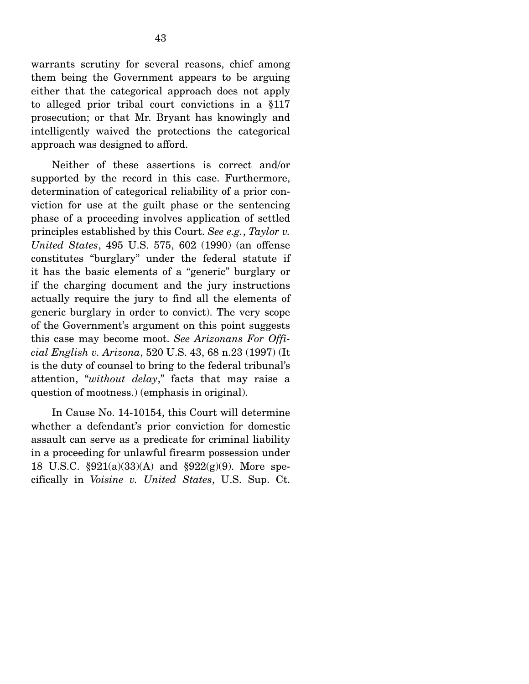warrants scrutiny for several reasons, chief among them being the Government appears to be arguing either that the categorical approach does not apply to alleged prior tribal court convictions in a §117 prosecution; or that Mr. Bryant has knowingly and intelligently waived the protections the categorical approach was designed to afford.

 Neither of these assertions is correct and/or supported by the record in this case. Furthermore, determination of categorical reliability of a prior conviction for use at the guilt phase or the sentencing phase of a proceeding involves application of settled principles established by this Court. *See e.g.*, *Taylor v. United States*, 495 U.S. 575, 602 (1990) (an offense constitutes "burglary" under the federal statute if it has the basic elements of a "generic" burglary or if the charging document and the jury instructions actually require the jury to find all the elements of generic burglary in order to convict). The very scope of the Government's argument on this point suggests this case may become moot. *See Arizonans For Official English v. Arizona*, 520 U.S. 43, 68 n.23 (1997) (It is the duty of counsel to bring to the federal tribunal's attention, "*without delay*," facts that may raise a question of mootness.) (emphasis in original).

In Cause No. 14-10154, this Court will determine whether a defendant's prior conviction for domestic assault can serve as a predicate for criminal liability in a proceeding for unlawful firearm possession under 18 U.S.C. §921(a)(33)(A) and §922(g)(9). More specifically in *Voisine v. United States*, U.S. Sup. Ct.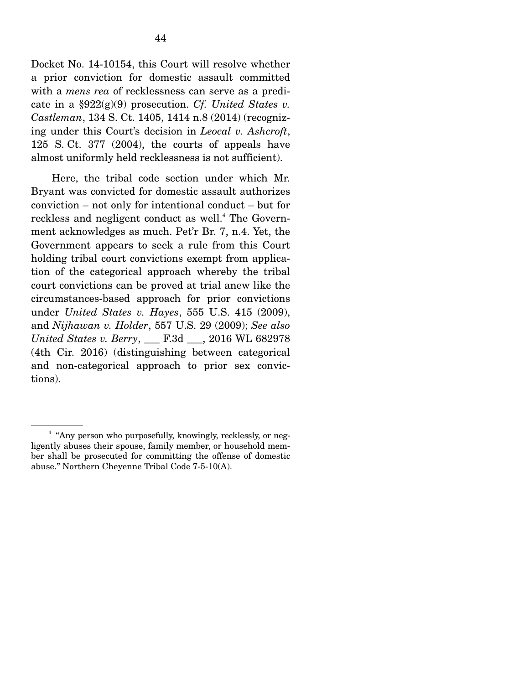Docket No. 14-10154, this Court will resolve whether a prior conviction for domestic assault committed with a *mens rea* of recklessness can serve as a predicate in a §922(g)(9) prosecution. *Cf. United States v. Castleman*, 134 S. Ct. 1405, 1414 n.8 (2014) (recognizing under this Court's decision in *Leocal v. Ashcroft*, 125 S. Ct. 377 (2004), the courts of appeals have almost uniformly held recklessness is not sufficient).

 Here, the tribal code section under which Mr. Bryant was convicted for domestic assault authorizes conviction – not only for intentional conduct – but for reckless and negligent conduct as well.<sup>4</sup> The Government acknowledges as much. Pet'r Br. 7, n.4. Yet, the Government appears to seek a rule from this Court holding tribal court convictions exempt from application of the categorical approach whereby the tribal court convictions can be proved at trial anew like the circumstances-based approach for prior convictions under *United States v. Hayes*, 555 U.S. 415 (2009), and *Nijhawan v. Holder*, 557 U.S. 29 (2009); *See also United States v. Berry*, \_\_\_ F.3d \_\_\_, 2016 WL 682978 (4th Cir. 2016) (distinguishing between categorical and non-categorical approach to prior sex convictions).

<sup>4</sup> "Any person who purposefully, knowingly, recklessly, or negligently abuses their spouse, family member, or household member shall be prosecuted for committing the offense of domestic abuse." Northern Cheyenne Tribal Code 7-5-10(A).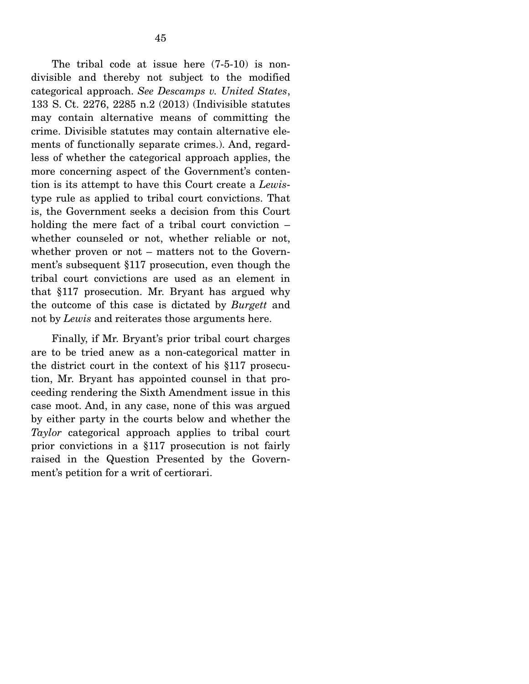The tribal code at issue here (7-5-10) is nondivisible and thereby not subject to the modified categorical approach. *See Descamps v. United States*, 133 S. Ct. 2276, 2285 n.2 (2013) (Indivisible statutes may contain alternative means of committing the crime. Divisible statutes may contain alternative elements of functionally separate crimes.). And, regardless of whether the categorical approach applies, the more concerning aspect of the Government's contention is its attempt to have this Court create a *Lewis*type rule as applied to tribal court convictions. That is, the Government seeks a decision from this Court holding the mere fact of a tribal court conviction – whether counseled or not, whether reliable or not, whether proven or not – matters not to the Government's subsequent §117 prosecution, even though the tribal court convictions are used as an element in that §117 prosecution. Mr. Bryant has argued why the outcome of this case is dictated by *Burgett* and not by *Lewis* and reiterates those arguments here.

 Finally, if Mr. Bryant's prior tribal court charges are to be tried anew as a non-categorical matter in the district court in the context of his §117 prosecution, Mr. Bryant has appointed counsel in that proceeding rendering the Sixth Amendment issue in this case moot. And, in any case, none of this was argued by either party in the courts below and whether the *Taylor* categorical approach applies to tribal court prior convictions in a §117 prosecution is not fairly raised in the Question Presented by the Government's petition for a writ of certiorari.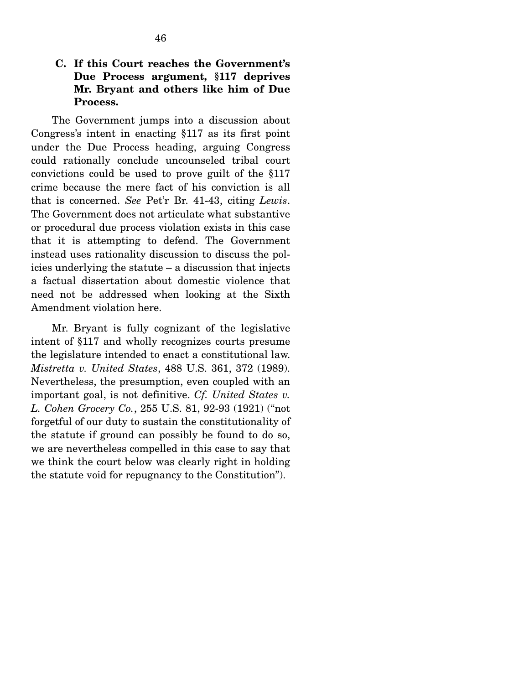### **C. If this Court reaches the Government's Due Process argument, §117 deprives Mr. Bryant and others like him of Due Process.**

The Government jumps into a discussion about Congress's intent in enacting §117 as its first point under the Due Process heading, arguing Congress could rationally conclude uncounseled tribal court convictions could be used to prove guilt of the §117 crime because the mere fact of his conviction is all that is concerned. *See* Pet'r Br. 41-43, citing *Lewis*. The Government does not articulate what substantive or procedural due process violation exists in this case that it is attempting to defend. The Government instead uses rationality discussion to discuss the policies underlying the statute – a discussion that injects a factual dissertation about domestic violence that need not be addressed when looking at the Sixth Amendment violation here.

 Mr. Bryant is fully cognizant of the legislative intent of §117 and wholly recognizes courts presume the legislature intended to enact a constitutional law. *Mistretta v. United States*, 488 U.S. 361, 372 (1989). Nevertheless, the presumption, even coupled with an important goal, is not definitive. *Cf. United States v. L. Cohen Grocery Co.*, 255 U.S. 81, 92-93 (1921) ("not forgetful of our duty to sustain the constitutionality of the statute if ground can possibly be found to do so, we are nevertheless compelled in this case to say that we think the court below was clearly right in holding the statute void for repugnancy to the Constitution").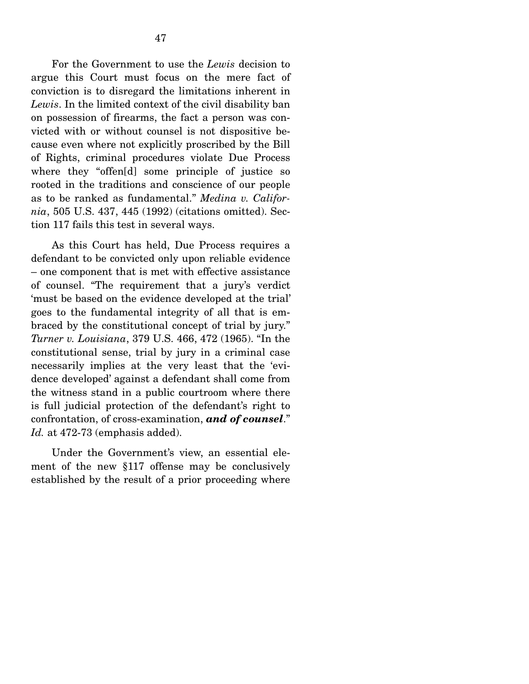For the Government to use the *Lewis* decision to argue this Court must focus on the mere fact of conviction is to disregard the limitations inherent in *Lewis*. In the limited context of the civil disability ban on possession of firearms, the fact a person was convicted with or without counsel is not dispositive because even where not explicitly proscribed by the Bill of Rights, criminal procedures violate Due Process where they "offen[d] some principle of justice so rooted in the traditions and conscience of our people as to be ranked as fundamental." *Medina v. California*, 505 U.S. 437, 445 (1992) (citations omitted). Section 117 fails this test in several ways.

 As this Court has held, Due Process requires a defendant to be convicted only upon reliable evidence – one component that is met with effective assistance of counsel. "The requirement that a jury's verdict 'must be based on the evidence developed at the trial' goes to the fundamental integrity of all that is embraced by the constitutional concept of trial by jury." *Turner v. Louisiana*, 379 U.S. 466, 472 (1965). "In the constitutional sense, trial by jury in a criminal case necessarily implies at the very least that the 'evidence developed' against a defendant shall come from the witness stand in a public courtroom where there is full judicial protection of the defendant's right to confrontation, of cross-examination, *and of counsel*." *Id.* at 472-73 (emphasis added).

 Under the Government's view, an essential element of the new §117 offense may be conclusively established by the result of a prior proceeding where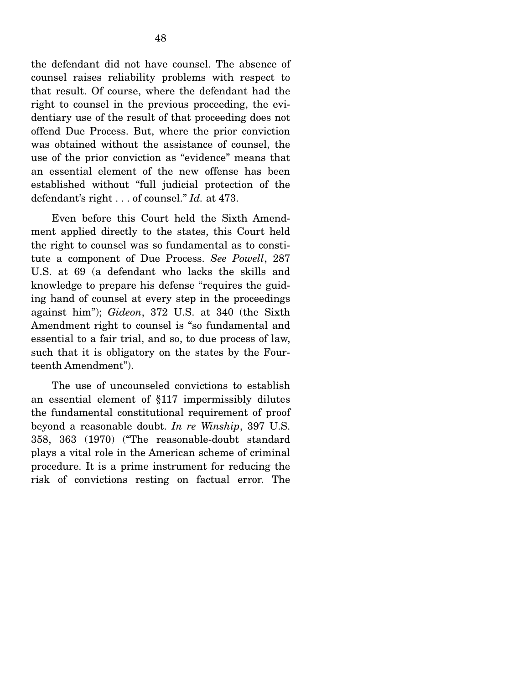the defendant did not have counsel. The absence of counsel raises reliability problems with respect to that result. Of course, where the defendant had the right to counsel in the previous proceeding, the evidentiary use of the result of that proceeding does not offend Due Process. But, where the prior conviction was obtained without the assistance of counsel, the use of the prior conviction as "evidence" means that an essential element of the new offense has been established without "full judicial protection of the defendant's right . . . of counsel." *Id.* at 473.

 Even before this Court held the Sixth Amendment applied directly to the states, this Court held the right to counsel was so fundamental as to constitute a component of Due Process. *See Powell*, 287 U.S. at 69 (a defendant who lacks the skills and knowledge to prepare his defense "requires the guiding hand of counsel at every step in the proceedings against him"); *Gideon*, 372 U.S. at 340 (the Sixth Amendment right to counsel is "so fundamental and essential to a fair trial, and so, to due process of law, such that it is obligatory on the states by the Fourteenth Amendment").

 The use of uncounseled convictions to establish an essential element of §117 impermissibly dilutes the fundamental constitutional requirement of proof beyond a reasonable doubt. *In re Winship*, 397 U.S. 358, 363 (1970) ("The reasonable-doubt standard plays a vital role in the American scheme of criminal procedure. It is a prime instrument for reducing the risk of convictions resting on factual error. The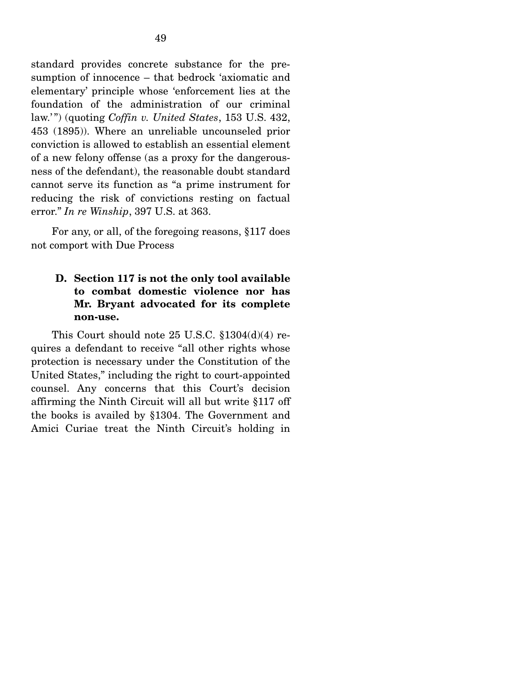standard provides concrete substance for the presumption of innocence – that bedrock 'axiomatic and elementary' principle whose 'enforcement lies at the foundation of the administration of our criminal law.' ") (quoting *Coffin v. United States*, 153 U.S. 432, 453 (1895)). Where an unreliable uncounseled prior conviction is allowed to establish an essential element of a new felony offense (as a proxy for the dangerousness of the defendant), the reasonable doubt standard cannot serve its function as "a prime instrument for reducing the risk of convictions resting on factual error." *In re Winship*, 397 U.S. at 363.

 For any, or all, of the foregoing reasons, §117 does not comport with Due Process

### **D. Section 117 is not the only tool available to combat domestic violence nor has Mr. Bryant advocated for its complete non-use.**

 This Court should note 25 U.S.C. §1304(d)(4) requires a defendant to receive "all other rights whose protection is necessary under the Constitution of the United States," including the right to court-appointed counsel. Any concerns that this Court's decision affirming the Ninth Circuit will all but write §117 off the books is availed by §1304. The Government and Amici Curiae treat the Ninth Circuit's holding in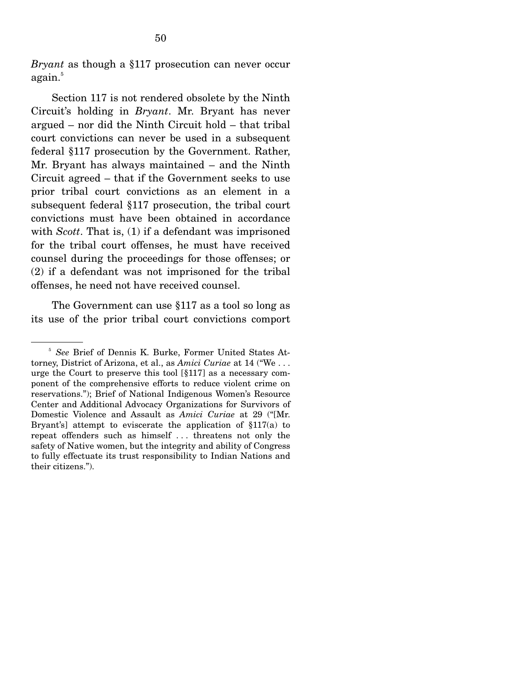*Bryant* as though a §117 prosecution can never occur again.<sup>5</sup>

 Section 117 is not rendered obsolete by the Ninth Circuit's holding in *Bryant*. Mr. Bryant has never argued – nor did the Ninth Circuit hold – that tribal court convictions can never be used in a subsequent federal §117 prosecution by the Government. Rather, Mr. Bryant has always maintained – and the Ninth Circuit agreed – that if the Government seeks to use prior tribal court convictions as an element in a subsequent federal §117 prosecution, the tribal court convictions must have been obtained in accordance with *Scott*. That is, (1) if a defendant was imprisoned for the tribal court offenses, he must have received counsel during the proceedings for those offenses; or (2) if a defendant was not imprisoned for the tribal offenses, he need not have received counsel.

 The Government can use §117 as a tool so long as its use of the prior tribal court convictions comport

<sup>5</sup> *See* Brief of Dennis K. Burke, Former United States Attorney, District of Arizona, et al., as *Amici Curiae* at 14 ("We . . . urge the Court to preserve this tool [§117] as a necessary component of the comprehensive efforts to reduce violent crime on reservations."); Brief of National Indigenous Women's Resource Center and Additional Advocacy Organizations for Survivors of Domestic Violence and Assault as *Amici Curiae* at 29 ("[Mr. Bryant's] attempt to eviscerate the application of  $$117(a)$  to repeat offenders such as himself . . . threatens not only the safety of Native women, but the integrity and ability of Congress to fully effectuate its trust responsibility to Indian Nations and their citizens.").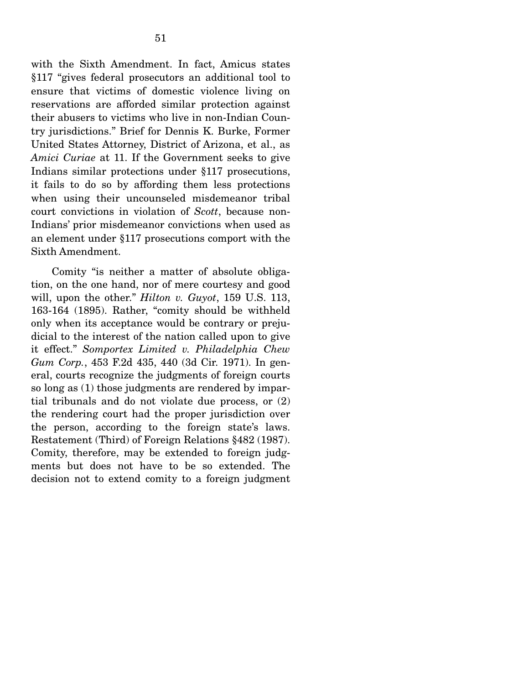with the Sixth Amendment. In fact, Amicus states §117 "gives federal prosecutors an additional tool to ensure that victims of domestic violence living on reservations are afforded similar protection against their abusers to victims who live in non-Indian Country jurisdictions." Brief for Dennis K. Burke, Former United States Attorney, District of Arizona, et al., as *Amici Curiae* at 11. If the Government seeks to give Indians similar protections under §117 prosecutions, it fails to do so by affording them less protections when using their uncounseled misdemeanor tribal court convictions in violation of *Scott*, because non-Indians' prior misdemeanor convictions when used as an element under §117 prosecutions comport with the Sixth Amendment.

 Comity "is neither a matter of absolute obligation, on the one hand, nor of mere courtesy and good will, upon the other." *Hilton v. Guyot*, 159 U.S. 113, 163-164 (1895). Rather, "comity should be withheld only when its acceptance would be contrary or prejudicial to the interest of the nation called upon to give it effect." *Somportex Limited v. Philadelphia Chew Gum Corp.*, 453 F.2d 435, 440 (3d Cir. 1971). In general, courts recognize the judgments of foreign courts so long as (1) those judgments are rendered by impartial tribunals and do not violate due process, or (2) the rendering court had the proper jurisdiction over the person, according to the foreign state's laws. Restatement (Third) of Foreign Relations §482 (1987). Comity, therefore, may be extended to foreign judgments but does not have to be so extended. The decision not to extend comity to a foreign judgment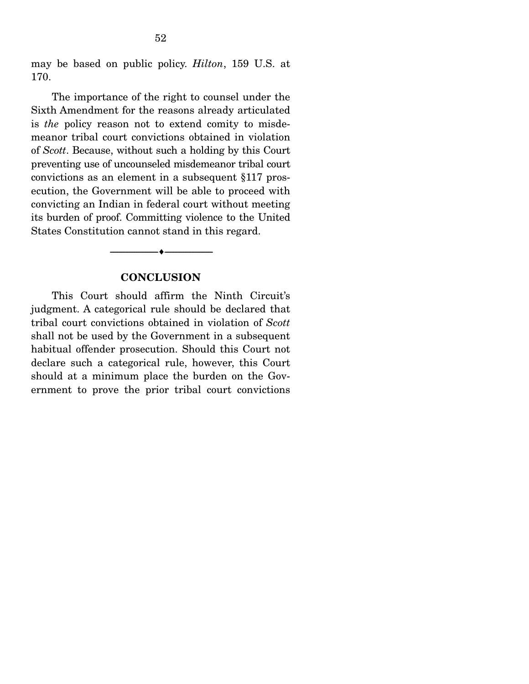may be based on public policy. *Hilton*, 159 U.S. at 170.

 The importance of the right to counsel under the Sixth Amendment for the reasons already articulated is *the* policy reason not to extend comity to misdemeanor tribal court convictions obtained in violation of *Scott*. Because, without such a holding by this Court preventing use of uncounseled misdemeanor tribal court convictions as an element in a subsequent §117 prosecution, the Government will be able to proceed with convicting an Indian in federal court without meeting its burden of proof. Committing violence to the United States Constitution cannot stand in this regard.

#### **CONCLUSION**

--------------------------------- ---------------------------------

 This Court should affirm the Ninth Circuit's judgment. A categorical rule should be declared that tribal court convictions obtained in violation of *Scott* shall not be used by the Government in a subsequent habitual offender prosecution. Should this Court not declare such a categorical rule, however, this Court should at a minimum place the burden on the Government to prove the prior tribal court convictions